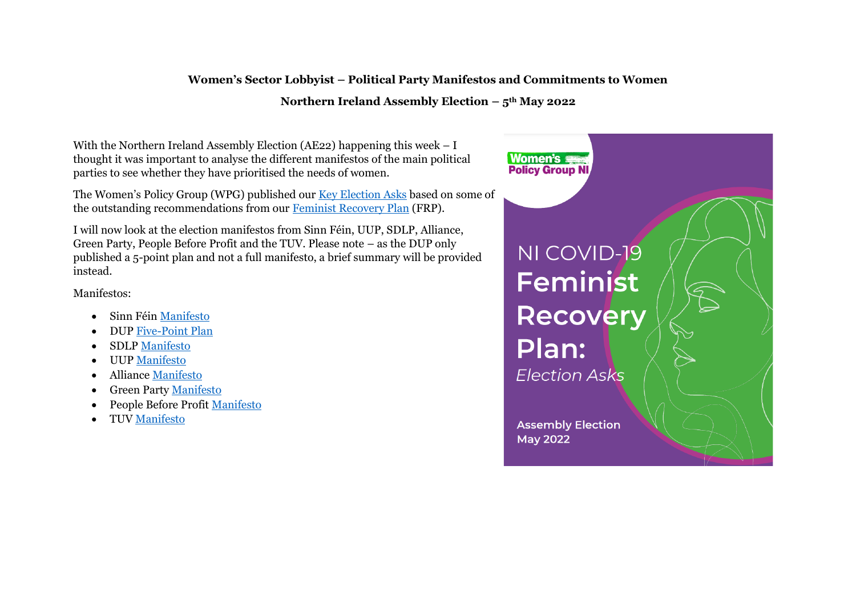#### **Women's Sector Lobbyist – Political Party Manifestos and Commitments to Women**

#### **Northern Ireland Assembly Election – 5th May 2022**

With the Northern Ireland Assembly Election (AE22) happening this week – I thought it was important to analyse the different manifestos of the main political parties to see whether they have prioritised the needs of women.

The Women's Policy Group (WPG) published our [Key Election Asks](https://wrda.net/wp-content/uploads/2022/04/WPG-FRP-Election-Asks.pdf) based on some of the outstanding recommendations from our [Feminist Recovery Plan](https://wrda.net/wp-content/uploads/2021/07/WPG-COVID-19-Feminist-Recovery-Plan-Relaunch-One-Year-On.pdf) (FRP).

I will now look at the election manifestos from Sinn Féin, UUP, SDLP, Alliance, Green Party, People Before Profit and the TUV. Please note – as the DUP only published a 5-point plan and not a full manifesto, a brief summary will be provided instead.

Manifestos:

- Sinn Féin [Manifesto](https://vote.sinnfein.ie/assembly-manifesto-2022/)
- DUP [Five-Point Plan](https://mydup.com/news/we-will-take-our-positive-five-point-plan-to-every-part-of-ni)
- SDLP [Manifesto](https://www.sdlp.ie/manifesto)
- UUP [Manifesto](https://www.uup.org/manifestos)
- Alliance [Manifesto](https://www.allianceparty.org/manifesto_homepage)
- Green Party [Manifesto](https://www.greenpartyni.org/manifesto)
- People Before Profit [Manifesto](https://www.pbp.ie/ae2022-manifesto/)
- TUV [Manifesto](https://tuv.org.uk/tuv-manifesto/)

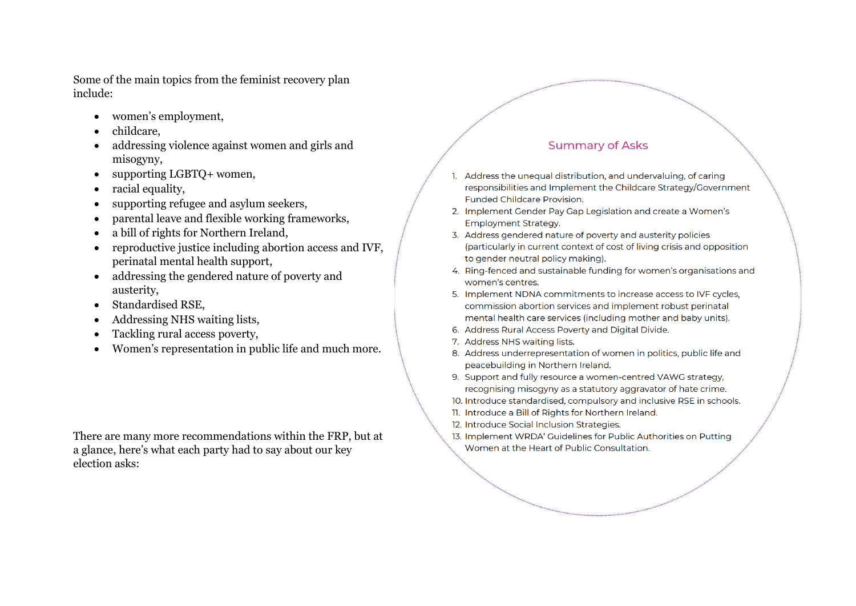Some of the main topics from the feminist recovery plan include:

- women's employment,
- childcare,
- addressing violence against women and girls and misogyny,
- supporting LGBTO+ women.
- racial equality,
- supporting refugee and asylum seekers,
- parental leave and flexible working frameworks,
- a bill of rights for Northern Ireland,
- reproductive justice including abortion access and IVF, perinatal mental health support,
- addressing the gendered nature of poverty and austerity,
- Standardised RSE,
- Addressing NHS waiting lists,
- Tackling rural access poverty,
- Women's representation in public life and much more.

There are many more recommendations within the FRP, but at a glance, here's what each party had to say about our key election asks:

#### **Summary of Asks**

- Address the unequal distribution, and undervaluing, of caring responsibilities and Implement the Childcare Strategy/Government **Funded Childcare Provision.**
- 2. Implement Gender Pay Gap Legislation and create a Women's Employment Strategy.
- 3. Address gendered nature of poverty and austerity policies (particularly in current context of cost of living crisis and opposition to gender neutral policy making).
- 4. Ring-fenced and sustainable funding for women's organisations and women's centres.
- 5. Implement NDNA commitments to increase access to IVF cycles, commission abortion services and implement robust perinatal mental health care services (including mother and baby units).
- 6. Address Rural Access Poverty and Digital Divide.
- 7. Address NHS waiting lists.
- 8. Address underrepresentation of women in politics, public life and peacebuilding in Northern Ireland.
- 9. Support and fully resource a women-centred VAWG strategy, recognising misogyny as a statutory aggravator of hate crime.
- 10. Introduce standardised, compulsory and inclusive RSE in schools.
- 11. Introduce a Bill of Rights for Northern Ireland.
- 12. Introduce Social Inclusion Strategies.
- 13. Implement WRDA' Guidelines for Public Authorities on Putting Women at the Heart of Public Consultation.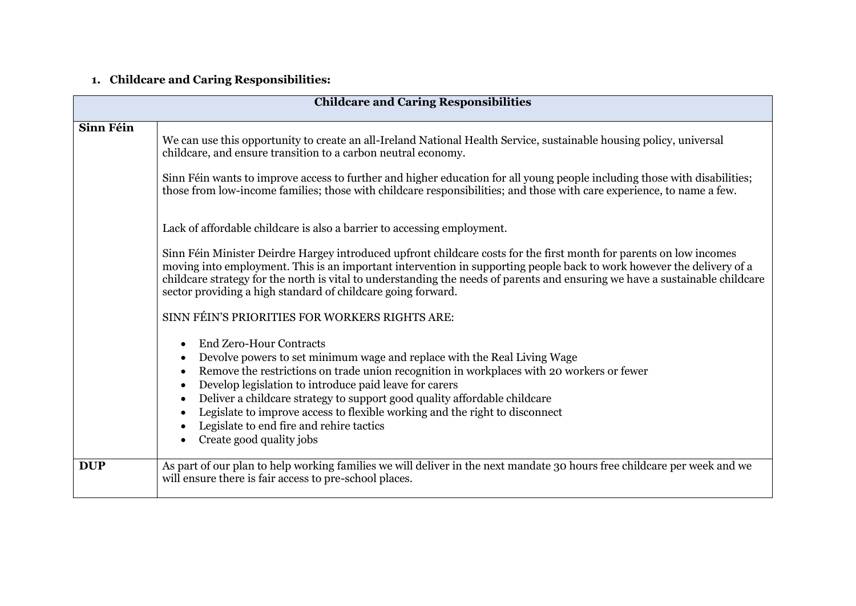# **1. Childcare and Caring Responsibilities:**

| <b>Childcare and Caring Responsibilities</b> |                                                                                                                                                                                                                                                                                                                                                                                                                                                                                                                                                                                                                          |
|----------------------------------------------|--------------------------------------------------------------------------------------------------------------------------------------------------------------------------------------------------------------------------------------------------------------------------------------------------------------------------------------------------------------------------------------------------------------------------------------------------------------------------------------------------------------------------------------------------------------------------------------------------------------------------|
| Sinn Féin                                    | We can use this opportunity to create an all-Ireland National Health Service, sustainable housing policy, universal<br>childcare, and ensure transition to a carbon neutral economy.<br>Sinn Féin wants to improve access to further and higher education for all young people including those with disabilities;<br>those from low-income families; those with childcare responsibilities; and those with care experience, to name a few.                                                                                                                                                                               |
|                                              | Lack of affordable childcare is also a barrier to accessing employment.<br>Sinn Féin Minister Deirdre Hargey introduced upfront childcare costs for the first month for parents on low incomes<br>moving into employment. This is an important intervention in supporting people back to work however the delivery of a<br>childcare strategy for the north is vital to understanding the needs of parents and ensuring we have a sustainable childcare<br>sector providing a high standard of childcare going forward.                                                                                                  |
|                                              | SINN FÉIN'S PRIORITIES FOR WORKERS RIGHTS ARE:<br><b>End Zero-Hour Contracts</b><br>$\bullet$<br>Devolve powers to set minimum wage and replace with the Real Living Wage<br>$\bullet$<br>Remove the restrictions on trade union recognition in workplaces with 20 workers or fewer<br>$\bullet$<br>Develop legislation to introduce paid leave for carers<br>$\bullet$<br>Deliver a childcare strategy to support good quality affordable childcare<br>$\bullet$<br>Legislate to improve access to flexible working and the right to disconnect<br>Legislate to end fire and rehire tactics<br>Create good quality jobs |
| <b>DUP</b>                                   | As part of our plan to help working families we will deliver in the next mandate 30 hours free childcare per week and we<br>will ensure there is fair access to pre-school places.                                                                                                                                                                                                                                                                                                                                                                                                                                       |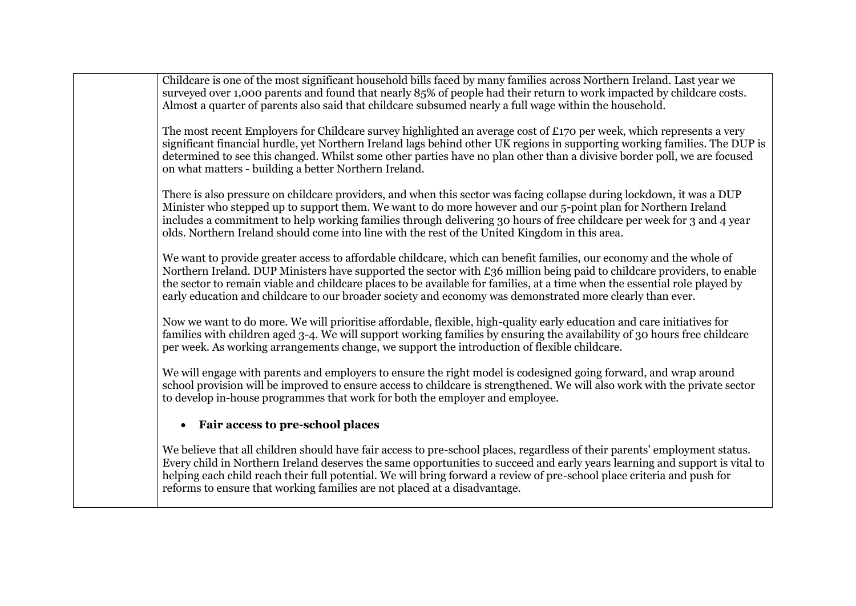| Childcare is one of the most significant household bills faced by many families across Northern Ireland. Last year we<br>surveyed over 1,000 parents and found that nearly 85% of people had their return to work impacted by childcare costs.<br>Almost a quarter of parents also said that childcare subsumed nearly a full wage within the household.                                                                                                                                  |
|-------------------------------------------------------------------------------------------------------------------------------------------------------------------------------------------------------------------------------------------------------------------------------------------------------------------------------------------------------------------------------------------------------------------------------------------------------------------------------------------|
| The most recent Employers for Childcare survey highlighted an average cost of £170 per week, which represents a very<br>significant financial hurdle, yet Northern Ireland lags behind other UK regions in supporting working families. The DUP is<br>determined to see this changed. Whilst some other parties have no plan other than a divisive border poll, we are focused<br>on what matters - building a better Northern Ireland.                                                   |
| There is also pressure on childcare providers, and when this sector was facing collapse during lockdown, it was a DUP<br>Minister who stepped up to support them. We want to do more however and our 5-point plan for Northern Ireland<br>includes a commitment to help working families through delivering 30 hours of free childcare per week for 3 and 4 year<br>olds. Northern Ireland should come into line with the rest of the United Kingdom in this area.                        |
| We want to provide greater access to affordable childcare, which can benefit families, our economy and the whole of<br>Northern Ireland. DUP Ministers have supported the sector with £36 million being paid to childcare providers, to enable<br>the sector to remain viable and childcare places to be available for families, at a time when the essential role played by<br>early education and childcare to our broader society and economy was demonstrated more clearly than ever. |
| Now we want to do more. We will prioritise affordable, flexible, high-quality early education and care initiatives for<br>families with children aged 3-4. We will support working families by ensuring the availability of 30 hours free childcare<br>per week. As working arrangements change, we support the introduction of flexible childcare.                                                                                                                                       |
| We will engage with parents and employers to ensure the right model is codesigned going forward, and wrap around<br>school provision will be improved to ensure access to childcare is strengthened. We will also work with the private sector<br>to develop in-house programmes that work for both the employer and employee.                                                                                                                                                            |
| Fair access to pre-school places                                                                                                                                                                                                                                                                                                                                                                                                                                                          |
| We believe that all children should have fair access to pre-school places, regardless of their parents' employment status.<br>Every child in Northern Ireland deserves the same opportunities to succeed and early years learning and support is vital to<br>helping each child reach their full potential. We will bring forward a review of pre-school place criteria and push for<br>reforms to ensure that working families are not placed at a disadvantage.                         |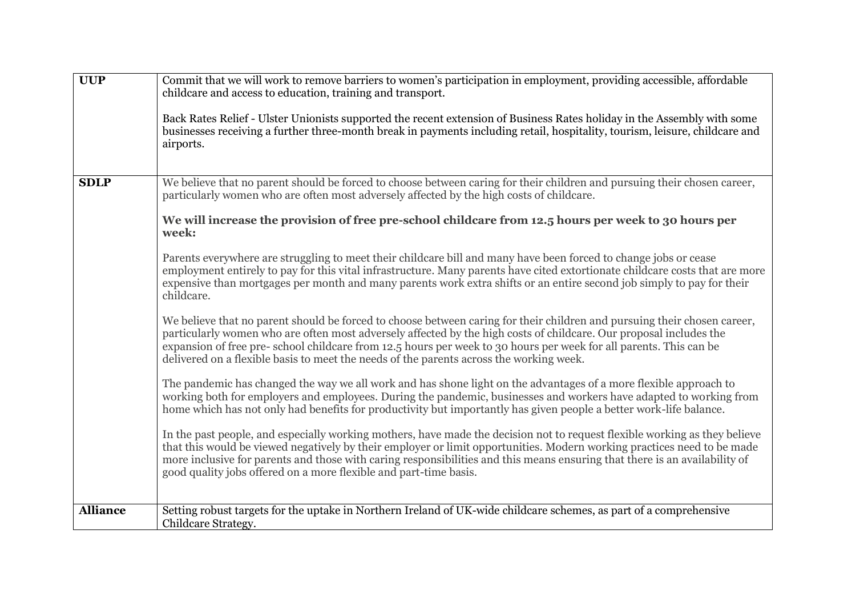| <b>UUP</b>      | Commit that we will work to remove barriers to women's participation in employment, providing accessible, affordable<br>childcare and access to education, training and transport.                                                                                                                                                                                                                                                                             |
|-----------------|----------------------------------------------------------------------------------------------------------------------------------------------------------------------------------------------------------------------------------------------------------------------------------------------------------------------------------------------------------------------------------------------------------------------------------------------------------------|
|                 | Back Rates Relief - Ulster Unionists supported the recent extension of Business Rates holiday in the Assembly with some<br>businesses receiving a further three-month break in payments including retail, hospitality, tourism, leisure, childcare and<br>airports.                                                                                                                                                                                            |
| <b>SDLP</b>     | We believe that no parent should be forced to choose between caring for their children and pursuing their chosen career,<br>particularly women who are often most adversely affected by the high costs of childcare.                                                                                                                                                                                                                                           |
|                 | We will increase the provision of free pre-school childcare from 12.5 hours per week to 30 hours per<br>week:                                                                                                                                                                                                                                                                                                                                                  |
|                 | Parents everywhere are struggling to meet their childcare bill and many have been forced to change jobs or cease<br>employment entirely to pay for this vital infrastructure. Many parents have cited extortionate childcare costs that are more<br>expensive than mortgages per month and many parents work extra shifts or an entire second job simply to pay for their<br>childcare.                                                                        |
|                 | We believe that no parent should be forced to choose between caring for their children and pursuing their chosen career,<br>particularly women who are often most adversely affected by the high costs of childcare. Our proposal includes the<br>expansion of free pre-school childcare from 12.5 hours per week to 30 hours per week for all parents. This can be<br>delivered on a flexible basis to meet the needs of the parents across the working week. |
|                 | The pandemic has changed the way we all work and has shone light on the advantages of a more flexible approach to<br>working both for employers and employees. During the pandemic, businesses and workers have adapted to working from<br>home which has not only had benefits for productivity but importantly has given people a better work-life balance.                                                                                                  |
|                 | In the past people, and especially working mothers, have made the decision not to request flexible working as they believe<br>that this would be viewed negatively by their employer or limit opportunities. Modern working practices need to be made<br>more inclusive for parents and those with caring responsibilities and this means ensuring that there is an availability of<br>good quality jobs offered on a more flexible and part-time basis.       |
| <b>Alliance</b> | Setting robust targets for the uptake in Northern Ireland of UK-wide childcare schemes, as part of a comprehensive<br>Childcare Strategy.                                                                                                                                                                                                                                                                                                                      |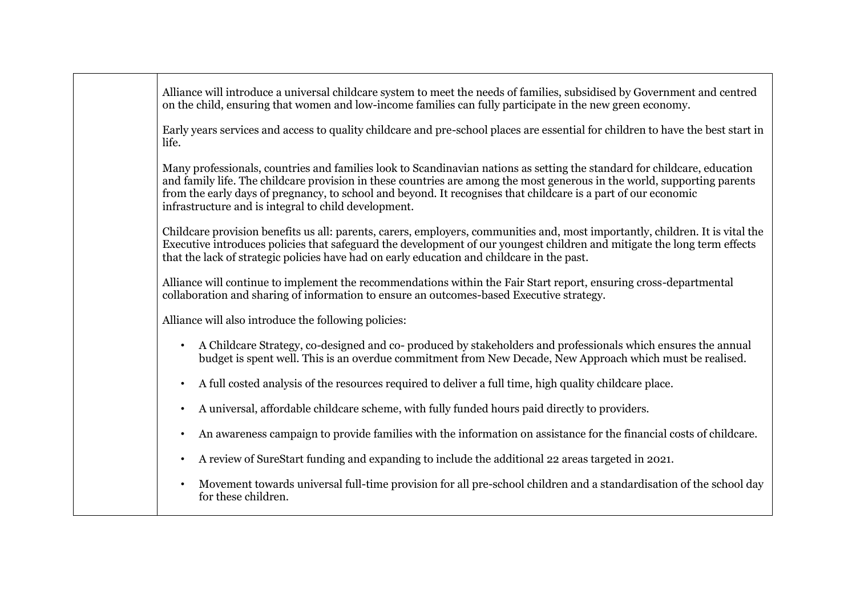| Alliance will introduce a universal childcare system to meet the needs of families, subsidised by Government and centred |
|--------------------------------------------------------------------------------------------------------------------------|
| on the child, ensuring that women and low-income families can fully participate in the new green economy.                |

Early years services and access to quality childcare and pre-school places are essential for children to have the best start in life.

Many professionals, countries and families look to Scandinavian nations as setting the standard for childcare, education and family life. The childcare provision in these countries are among the most generous in the world, supporting parents from the early days of pregnancy, to school and beyond. It recognises that childcare is a part of our economic infrastructure and is integral to child development.

Childcare provision benefits us all: parents, carers, employers, communities and, most importantly, children. It is vital the Executive introduces policies that safeguard the development of our youngest children and mitigate the long term effects that the lack of strategic policies have had on early education and childcare in the past.

Alliance will continue to implement the recommendations within the Fair Start report, ensuring cross-departmental collaboration and sharing of information to ensure an outcomes-based Executive strategy.

Alliance will also introduce the following policies:

- A Childcare Strategy, co-designed and co- produced by stakeholders and professionals which ensures the annual budget is spent well. This is an overdue commitment from New Decade, New Approach which must be realised.
- A full costed analysis of the resources required to deliver a full time, high quality childcare place.
- A universal, affordable childcare scheme, with fully funded hours paid directly to providers.
- An awareness campaign to provide families with the information on assistance for the financial costs of childcare.
- A review of SureStart funding and expanding to include the additional 22 areas targeted in 2021.
- Movement towards universal full-time provision for all pre-school children and a standardisation of the school day for these children.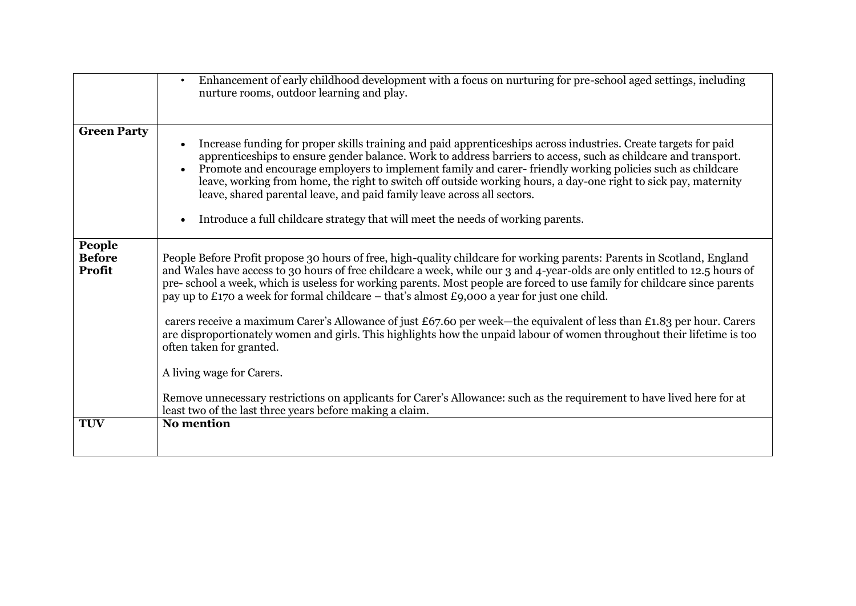|                                   | Enhancement of early childhood development with a focus on nurturing for pre-school aged settings, including<br>$\bullet$<br>nurture rooms, outdoor learning and play.                                                                                                                                                                                                                                                                                                                                                                                                                                                                                     |
|-----------------------------------|------------------------------------------------------------------------------------------------------------------------------------------------------------------------------------------------------------------------------------------------------------------------------------------------------------------------------------------------------------------------------------------------------------------------------------------------------------------------------------------------------------------------------------------------------------------------------------------------------------------------------------------------------------|
| <b>Green Party</b>                | Increase funding for proper skills training and paid apprenticeships across industries. Create targets for paid<br>$\bullet$<br>apprenticeships to ensure gender balance. Work to address barriers to access, such as childcare and transport.<br>Promote and encourage employers to implement family and carer-friendly working policies such as childcare<br>leave, working from home, the right to switch off outside working hours, a day-one right to sick pay, maternity<br>leave, shared parental leave, and paid family leave across all sectors.<br>Introduce a full childcare strategy that will meet the needs of working parents.<br>$\bullet$ |
| People<br><b>Before</b><br>Profit | People Before Profit propose 30 hours of free, high-quality childcare for working parents: Parents in Scotland, England<br>and Wales have access to 30 hours of free childcare a week, while our 3 and 4-year-olds are only entitled to 12.5 hours of<br>pre-school a week, which is useless for working parents. Most people are forced to use family for childcare since parents<br>pay up to £170 a week for formal childcare – that's almost £9,000 a year for just one child.                                                                                                                                                                         |
|                                   | carers receive a maximum Carer's Allowance of just £67.60 per week—the equivalent of less than £1.83 per hour. Carers<br>are disproportionately women and girls. This highlights how the unpaid labour of women throughout their lifetime is too<br>often taken for granted.                                                                                                                                                                                                                                                                                                                                                                               |
|                                   | A living wage for Carers.                                                                                                                                                                                                                                                                                                                                                                                                                                                                                                                                                                                                                                  |
|                                   | Remove unnecessary restrictions on applicants for Carer's Allowance: such as the requirement to have lived here for at<br>least two of the last three years before making a claim.                                                                                                                                                                                                                                                                                                                                                                                                                                                                         |
| <b>TUV</b>                        | <b>No mention</b>                                                                                                                                                                                                                                                                                                                                                                                                                                                                                                                                                                                                                                          |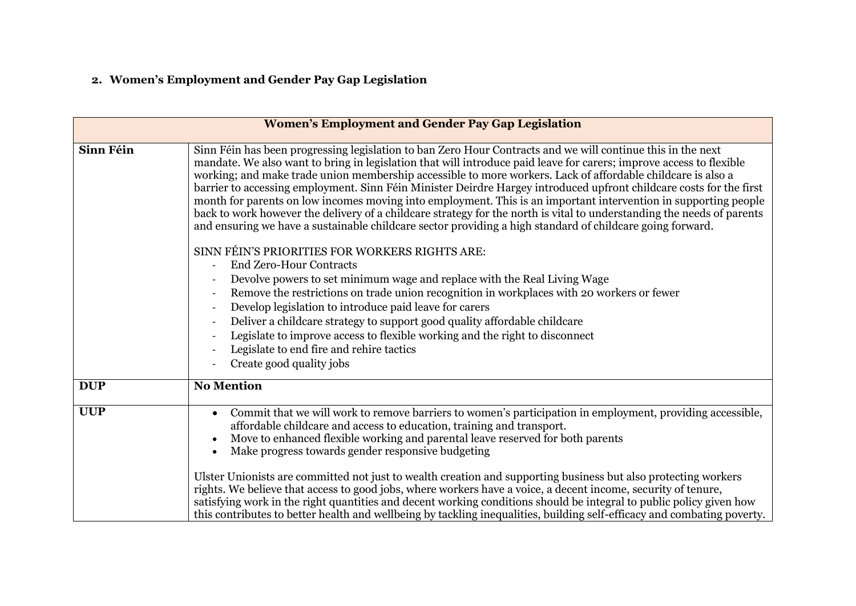# **2. Women's Employment and Gender Pay Gap Legislation**

| <b>Women's Employment and Gender Pay Gap Legislation</b> |                                                                                                                                                                                                                                                                                                                                                                                                                                                                                                                                                                                                                                                                                                                                                                                                                                                                                                                                                                                                                                                                                                                                                                                                                                                                                                                                                                                               |
|----------------------------------------------------------|-----------------------------------------------------------------------------------------------------------------------------------------------------------------------------------------------------------------------------------------------------------------------------------------------------------------------------------------------------------------------------------------------------------------------------------------------------------------------------------------------------------------------------------------------------------------------------------------------------------------------------------------------------------------------------------------------------------------------------------------------------------------------------------------------------------------------------------------------------------------------------------------------------------------------------------------------------------------------------------------------------------------------------------------------------------------------------------------------------------------------------------------------------------------------------------------------------------------------------------------------------------------------------------------------------------------------------------------------------------------------------------------------|
| Sinn Féin                                                | Sinn Féin has been progressing legislation to ban Zero Hour Contracts and we will continue this in the next<br>mandate. We also want to bring in legislation that will introduce paid leave for carers; improve access to flexible<br>working; and make trade union membership accessible to more workers. Lack of affordable childcare is also a<br>barrier to accessing employment. Sinn Féin Minister Deirdre Hargey introduced upfront childcare costs for the first<br>month for parents on low incomes moving into employment. This is an important intervention in supporting people<br>back to work however the delivery of a childcare strategy for the north is vital to understanding the needs of parents<br>and ensuring we have a sustainable childcare sector providing a high standard of childcare going forward.<br>SINN FÉIN'S PRIORITIES FOR WORKERS RIGHTS ARE:<br><b>End Zero-Hour Contracts</b><br>Devolve powers to set minimum wage and replace with the Real Living Wage<br>Remove the restrictions on trade union recognition in workplaces with 20 workers or fewer<br>Develop legislation to introduce paid leave for carers<br>Deliver a childcare strategy to support good quality affordable childcare<br>Legislate to improve access to flexible working and the right to disconnect<br>Legislate to end fire and rehire tactics<br>Create good quality jobs |
| <b>DUP</b>                                               | <b>No Mention</b>                                                                                                                                                                                                                                                                                                                                                                                                                                                                                                                                                                                                                                                                                                                                                                                                                                                                                                                                                                                                                                                                                                                                                                                                                                                                                                                                                                             |
| <b>UUP</b>                                               | Commit that we will work to remove barriers to women's participation in employment, providing accessible,<br>affordable childcare and access to education, training and transport.<br>Move to enhanced flexible working and parental leave reserved for both parents<br>Make progress towards gender responsive budgeting<br>Ulster Unionists are committed not just to wealth creation and supporting business but also protecting workers<br>rights. We believe that access to good jobs, where workers have a voice, a decent income, security of tenure,<br>satisfying work in the right quantities and decent working conditions should be integral to public policy given how<br>this contributes to better health and wellbeing by tackling inequalities, building self-efficacy and combating poverty.                                                                                                                                                                                                                                                                                                                                                                                                                                                                                                                                                                                |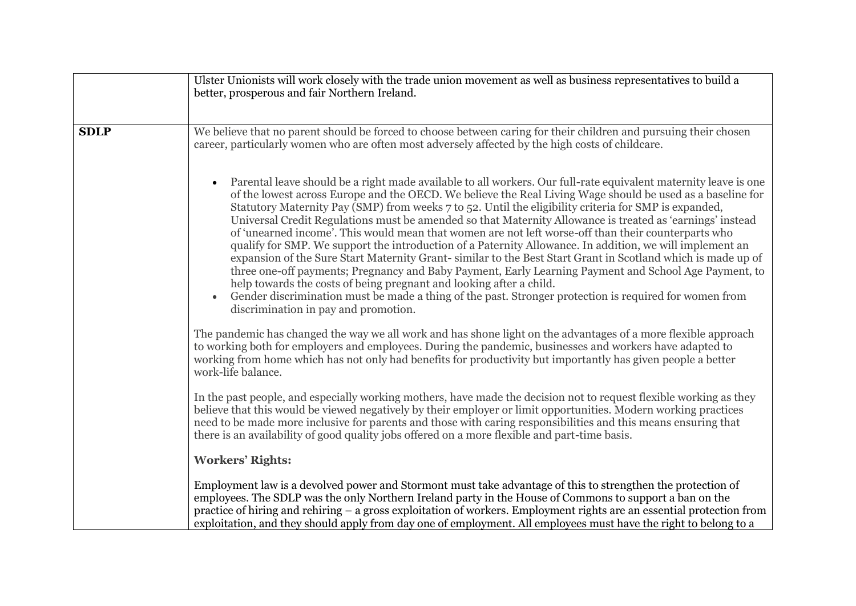|             | Ulster Unionists will work closely with the trade union movement as well as business representatives to build a<br>better, prosperous and fair Northern Ireland.                                                                                                                                                                                                                                                                                                                                                                                                                                                                                                                                                                                                                                                                                                                                                                                                                                                                                                                                                        |
|-------------|-------------------------------------------------------------------------------------------------------------------------------------------------------------------------------------------------------------------------------------------------------------------------------------------------------------------------------------------------------------------------------------------------------------------------------------------------------------------------------------------------------------------------------------------------------------------------------------------------------------------------------------------------------------------------------------------------------------------------------------------------------------------------------------------------------------------------------------------------------------------------------------------------------------------------------------------------------------------------------------------------------------------------------------------------------------------------------------------------------------------------|
| <b>SDLP</b> | We believe that no parent should be forced to choose between caring for their children and pursuing their chosen<br>career, particularly women who are often most adversely affected by the high costs of childcare.                                                                                                                                                                                                                                                                                                                                                                                                                                                                                                                                                                                                                                                                                                                                                                                                                                                                                                    |
|             | Parental leave should be a right made available to all workers. Our full-rate equivalent maternity leave is one<br>of the lowest across Europe and the OECD. We believe the Real Living Wage should be used as a baseline for<br>Statutory Maternity Pay (SMP) from weeks 7 to 52. Until the eligibility criteria for SMP is expanded,<br>Universal Credit Regulations must be amended so that Maternity Allowance is treated as 'earnings' instead<br>of 'unearned income'. This would mean that women are not left worse-off than their counterparts who<br>qualify for SMP. We support the introduction of a Paternity Allowance. In addition, we will implement an<br>expansion of the Sure Start Maternity Grant-similar to the Best Start Grant in Scotland which is made up of<br>three one-off payments; Pregnancy and Baby Payment, Early Learning Payment and School Age Payment, to<br>help towards the costs of being pregnant and looking after a child.<br>Gender discrimination must be made a thing of the past. Stronger protection is required for women from<br>discrimination in pay and promotion. |
|             | The pandemic has changed the way we all work and has shone light on the advantages of a more flexible approach<br>to working both for employers and employees. During the pandemic, businesses and workers have adapted to<br>working from home which has not only had benefits for productivity but importantly has given people a better<br>work-life balance.                                                                                                                                                                                                                                                                                                                                                                                                                                                                                                                                                                                                                                                                                                                                                        |
|             | In the past people, and especially working mothers, have made the decision not to request flexible working as they<br>believe that this would be viewed negatively by their employer or limit opportunities. Modern working practices<br>need to be made more inclusive for parents and those with caring responsibilities and this means ensuring that<br>there is an availability of good quality jobs offered on a more flexible and part-time basis.                                                                                                                                                                                                                                                                                                                                                                                                                                                                                                                                                                                                                                                                |
|             | <b>Workers' Rights:</b>                                                                                                                                                                                                                                                                                                                                                                                                                                                                                                                                                                                                                                                                                                                                                                                                                                                                                                                                                                                                                                                                                                 |
|             | Employment law is a devolved power and Stormont must take advantage of this to strengthen the protection of<br>employees. The SDLP was the only Northern Ireland party in the House of Commons to support a ban on the<br>practice of hiring and rehiring – a gross exploitation of workers. Employment rights are an essential protection from<br>exploitation, and they should apply from day one of employment. All employees must have the right to belong to a                                                                                                                                                                                                                                                                                                                                                                                                                                                                                                                                                                                                                                                     |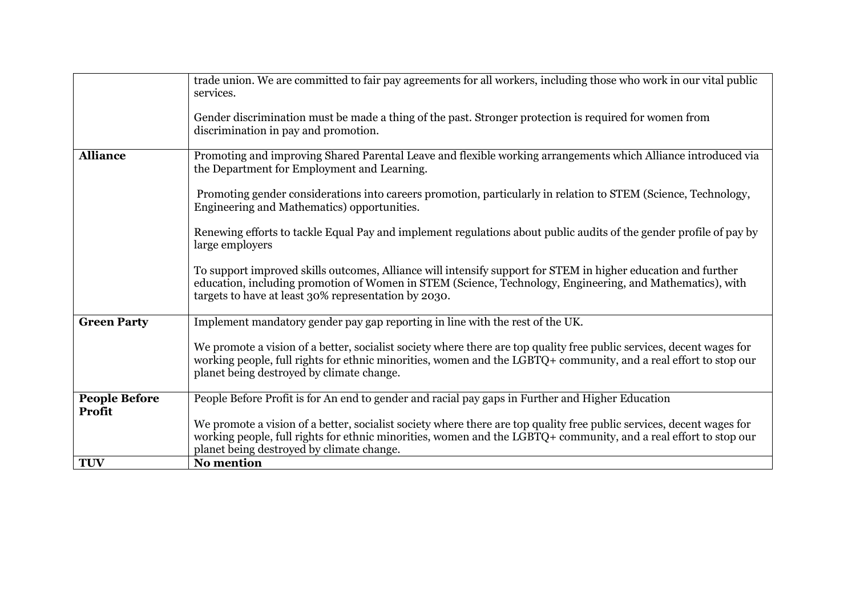|                      | trade union. We are committed to fair pay agreements for all workers, including those who work in our vital public                                                                                                                                                                     |
|----------------------|----------------------------------------------------------------------------------------------------------------------------------------------------------------------------------------------------------------------------------------------------------------------------------------|
|                      | services.                                                                                                                                                                                                                                                                              |
|                      | Gender discrimination must be made a thing of the past. Stronger protection is required for women from                                                                                                                                                                                 |
|                      | discrimination in pay and promotion.                                                                                                                                                                                                                                                   |
| <b>Alliance</b>      | Promoting and improving Shared Parental Leave and flexible working arrangements which Alliance introduced via<br>the Department for Employment and Learning.                                                                                                                           |
|                      | Promoting gender considerations into careers promotion, particularly in relation to STEM (Science, Technology,<br>Engineering and Mathematics) opportunities.                                                                                                                          |
|                      | Renewing efforts to tackle Equal Pay and implement regulations about public audits of the gender profile of pay by<br>large employers                                                                                                                                                  |
|                      | To support improved skills outcomes, Alliance will intensify support for STEM in higher education and further<br>education, including promotion of Women in STEM (Science, Technology, Engineering, and Mathematics), with<br>targets to have at least 30% representation by 2030.     |
| <b>Green Party</b>   | Implement mandatory gender pay gap reporting in line with the rest of the UK.                                                                                                                                                                                                          |
|                      | We promote a vision of a better, socialist society where there are top quality free public services, decent wages for<br>working people, full rights for ethnic minorities, women and the LGBTQ+ community, and a real effort to stop our<br>planet being destroyed by climate change. |
| <b>People Before</b> | People Before Profit is for An end to gender and racial pay gaps in Further and Higher Education                                                                                                                                                                                       |
| <b>Profit</b>        | We promote a vision of a better, socialist society where there are top quality free public services, decent wages for<br>working people, full rights for ethnic minorities, women and the LGBTQ+ community, and a real effort to stop our<br>planet being destroyed by climate change. |
| <b>TUV</b>           | <b>No mention</b>                                                                                                                                                                                                                                                                      |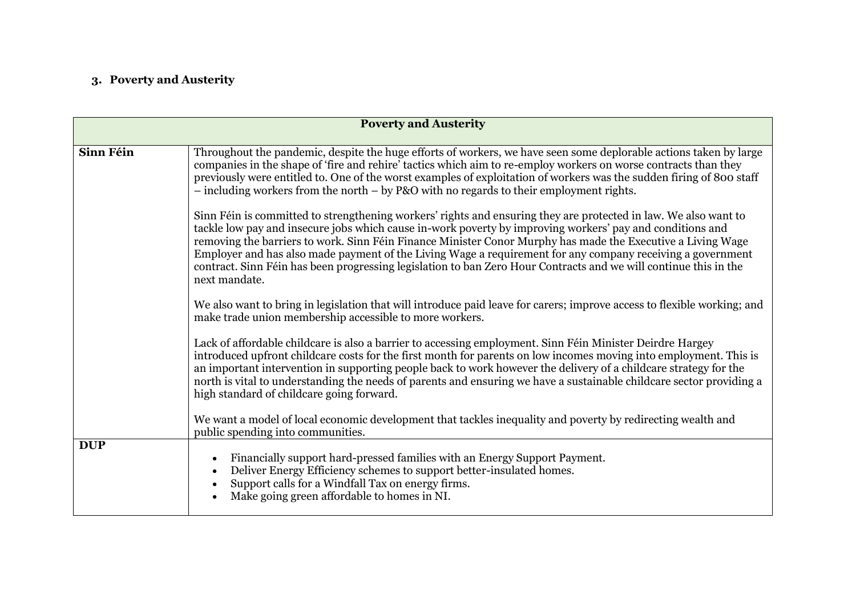### **3. Poverty and Austerity**

| <b>Poverty and Austerity</b> |                                                                                                                                                                                                                                                                                                                                                                                                                                                                                                                                                                                                |
|------------------------------|------------------------------------------------------------------------------------------------------------------------------------------------------------------------------------------------------------------------------------------------------------------------------------------------------------------------------------------------------------------------------------------------------------------------------------------------------------------------------------------------------------------------------------------------------------------------------------------------|
| Sinn Féin                    | Throughout the pandemic, despite the huge efforts of workers, we have seen some deplorable actions taken by large<br>companies in the shape of 'fire and rehire' tactics which aim to re-employ workers on worse contracts than they<br>previously were entitled to. One of the worst examples of exploitation of workers was the sudden firing of 800 staff<br>$-$ including workers from the north $-$ by P&O with no regards to their employment rights.                                                                                                                                    |
|                              | Sinn Féin is committed to strengthening workers' rights and ensuring they are protected in law. We also want to<br>tackle low pay and insecure jobs which cause in-work poverty by improving workers' pay and conditions and<br>removing the barriers to work. Sinn Féin Finance Minister Conor Murphy has made the Executive a Living Wage<br>Employer and has also made payment of the Living Wage a requirement for any company receiving a government<br>contract. Sinn Féin has been progressing legislation to ban Zero Hour Contracts and we will continue this in the<br>next mandate. |
|                              | We also want to bring in legislation that will introduce paid leave for carers; improve access to flexible working; and<br>make trade union membership accessible to more workers.                                                                                                                                                                                                                                                                                                                                                                                                             |
|                              | Lack of affordable childcare is also a barrier to accessing employment. Sinn Féin Minister Deirdre Hargey<br>introduced upfront childcare costs for the first month for parents on low incomes moving into employment. This is<br>an important intervention in supporting people back to work however the delivery of a childcare strategy for the<br>north is vital to understanding the needs of parents and ensuring we have a sustainable childcare sector providing a<br>high standard of childcare going forward.                                                                        |
|                              | We want a model of local economic development that tackles inequality and poverty by redirecting wealth and<br>public spending into communities.                                                                                                                                                                                                                                                                                                                                                                                                                                               |
| <b>DUP</b>                   | Financially support hard-pressed families with an Energy Support Payment.<br>Deliver Energy Efficiency schemes to support better-insulated homes.<br>Support calls for a Windfall Tax on energy firms.<br>Make going green affordable to homes in NI.                                                                                                                                                                                                                                                                                                                                          |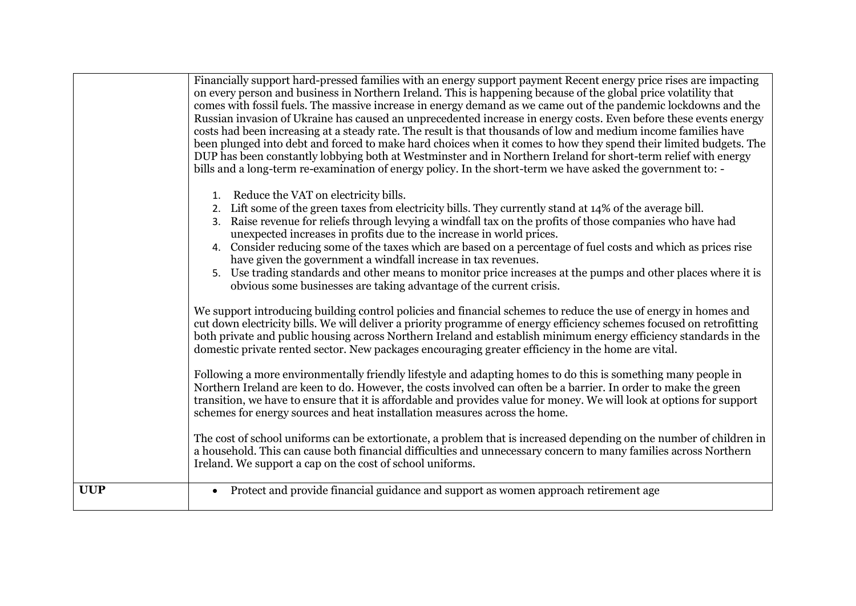| <b>UUP</b> | Ireland. We support a cap on the cost of school uniforms.<br>Protect and provide financial guidance and support as women approach retirement age<br>$\bullet$                                                                                                                                                                                                                                                                                                                                                                                                                                                                                                                                                                                                                                                                                                                                                                                                                                      |
|------------|----------------------------------------------------------------------------------------------------------------------------------------------------------------------------------------------------------------------------------------------------------------------------------------------------------------------------------------------------------------------------------------------------------------------------------------------------------------------------------------------------------------------------------------------------------------------------------------------------------------------------------------------------------------------------------------------------------------------------------------------------------------------------------------------------------------------------------------------------------------------------------------------------------------------------------------------------------------------------------------------------|
|            | The cost of school uniforms can be extortionate, a problem that is increased depending on the number of children in<br>a household. This can cause both financial difficulties and unnecessary concern to many families across Northern                                                                                                                                                                                                                                                                                                                                                                                                                                                                                                                                                                                                                                                                                                                                                            |
|            | Following a more environmentally friendly lifestyle and adapting homes to do this is something many people in<br>Northern Ireland are keen to do. However, the costs involved can often be a barrier. In order to make the green<br>transition, we have to ensure that it is affordable and provides value for money. We will look at options for support<br>schemes for energy sources and heat installation measures across the home.                                                                                                                                                                                                                                                                                                                                                                                                                                                                                                                                                            |
|            | We support introducing building control policies and financial schemes to reduce the use of energy in homes and<br>cut down electricity bills. We will deliver a priority programme of energy efficiency schemes focused on retrofitting<br>both private and public housing across Northern Ireland and establish minimum energy efficiency standards in the<br>domestic private rented sector. New packages encouraging greater efficiency in the home are vital.                                                                                                                                                                                                                                                                                                                                                                                                                                                                                                                                 |
|            | 2. Lift some of the green taxes from electricity bills. They currently stand at 14% of the average bill.<br>Raise revenue for reliefs through levying a windfall tax on the profits of those companies who have had<br>unexpected increases in profits due to the increase in world prices.<br>Consider reducing some of the taxes which are based on a percentage of fuel costs and which as prices rise<br>4.<br>have given the government a windfall increase in tax revenues.<br>5. Use trading standards and other means to monitor price increases at the pumps and other places where it is<br>obvious some businesses are taking advantage of the current crisis.                                                                                                                                                                                                                                                                                                                          |
|            | Financially support hard-pressed families with an energy support payment Recent energy price rises are impacting<br>on every person and business in Northern Ireland. This is happening because of the global price volatility that<br>comes with fossil fuels. The massive increase in energy demand as we came out of the pandemic lockdowns and the<br>Russian invasion of Ukraine has caused an unprecedented increase in energy costs. Even before these events energy<br>costs had been increasing at a steady rate. The result is that thousands of low and medium income families have<br>been plunged into debt and forced to make hard choices when it comes to how they spend their limited budgets. The<br>DUP has been constantly lobbying both at Westminster and in Northern Ireland for short-term relief with energy<br>bills and a long-term re-examination of energy policy. In the short-term we have asked the government to: -<br>Reduce the VAT on electricity bills.<br>1. |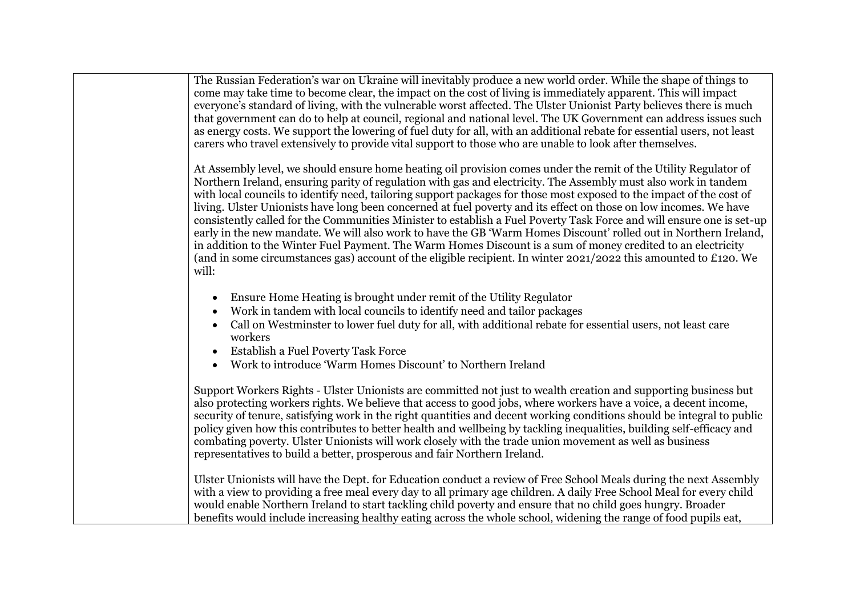| The Russian Federation's war on Ukraine will inevitably produce a new world order. While the shape of things to<br>come may take time to become clear, the impact on the cost of living is immediately apparent. This will impact<br>everyone's standard of living, with the vulnerable worst affected. The Ulster Unionist Party believes there is much<br>that government can do to help at council, regional and national level. The UK Government can address issues such<br>as energy costs. We support the lowering of fuel duty for all, with an additional rebate for essential users, not least<br>carers who travel extensively to provide vital support to those who are unable to look after themselves.                                                                                                                                                                                                                                                       |
|----------------------------------------------------------------------------------------------------------------------------------------------------------------------------------------------------------------------------------------------------------------------------------------------------------------------------------------------------------------------------------------------------------------------------------------------------------------------------------------------------------------------------------------------------------------------------------------------------------------------------------------------------------------------------------------------------------------------------------------------------------------------------------------------------------------------------------------------------------------------------------------------------------------------------------------------------------------------------|
| At Assembly level, we should ensure home heating oil provision comes under the remit of the Utility Regulator of<br>Northern Ireland, ensuring parity of regulation with gas and electricity. The Assembly must also work in tandem<br>with local councils to identify need, tailoring support packages for those most exposed to the impact of the cost of<br>living. Ulster Unionists have long been concerned at fuel poverty and its effect on those on low incomes. We have<br>consistently called for the Communities Minister to establish a Fuel Poverty Task Force and will ensure one is set-up<br>early in the new mandate. We will also work to have the GB 'Warm Homes Discount' rolled out in Northern Ireland,<br>in addition to the Winter Fuel Payment. The Warm Homes Discount is a sum of money credited to an electricity<br>(and in some circumstances gas) account of the eligible recipient. In winter 2021/2022 this amounted to £120. We<br>will: |
| Ensure Home Heating is brought under remit of the Utility Regulator<br>$\bullet$<br>Work in tandem with local councils to identify need and tailor packages<br>Call on Westminster to lower fuel duty for all, with additional rebate for essential users, not least care<br>workers<br><b>Establish a Fuel Poverty Task Force</b><br>Work to introduce 'Warm Homes Discount' to Northern Ireland                                                                                                                                                                                                                                                                                                                                                                                                                                                                                                                                                                          |
| Support Workers Rights - Ulster Unionists are committed not just to wealth creation and supporting business but<br>also protecting workers rights. We believe that access to good jobs, where workers have a voice, a decent income,<br>security of tenure, satisfying work in the right quantities and decent working conditions should be integral to public<br>policy given how this contributes to better health and wellbeing by tackling inequalities, building self-efficacy and<br>combating poverty. Ulster Unionists will work closely with the trade union movement as well as business<br>representatives to build a better, prosperous and fair Northern Ireland.                                                                                                                                                                                                                                                                                             |
| Ulster Unionists will have the Dept. for Education conduct a review of Free School Meals during the next Assembly<br>with a view to providing a free meal every day to all primary age children. A daily Free School Meal for every child<br>would enable Northern Ireland to start tackling child poverty and ensure that no child goes hungry. Broader<br>benefits would include increasing healthy eating across the whole school, widening the range of food pupils eat,                                                                                                                                                                                                                                                                                                                                                                                                                                                                                               |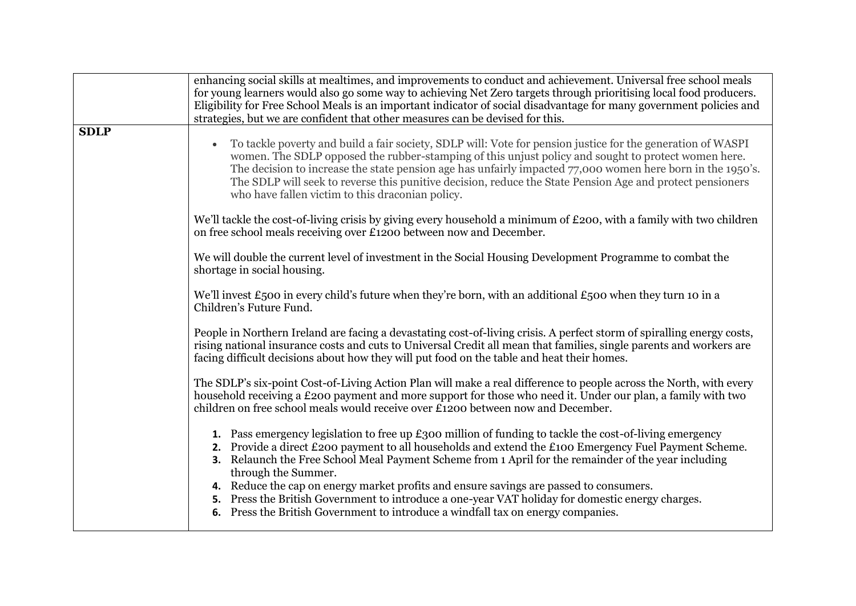|             | enhancing social skills at mealtimes, and improvements to conduct and achievement. Universal free school meals<br>for young learners would also go some way to achieving Net Zero targets through prioritising local food producers.<br>Eligibility for Free School Meals is an important indicator of social disadvantage for many government policies and<br>strategies, but we are confident that other measures can be devised for this.                                                                                                                                                                                      |
|-------------|-----------------------------------------------------------------------------------------------------------------------------------------------------------------------------------------------------------------------------------------------------------------------------------------------------------------------------------------------------------------------------------------------------------------------------------------------------------------------------------------------------------------------------------------------------------------------------------------------------------------------------------|
| <b>SDLP</b> | To tackle poverty and build a fair society, SDLP will: Vote for pension justice for the generation of WASPI<br>$\bullet$<br>women. The SDLP opposed the rubber-stamping of this unjust policy and sought to protect women here.<br>The decision to increase the state pension age has unfairly impacted 77,000 women here born in the 1950's.<br>The SDLP will seek to reverse this punitive decision, reduce the State Pension Age and protect pensioners<br>who have fallen victim to this draconian policy.                                                                                                                    |
|             | We'll tackle the cost-of-living crisis by giving every household a minimum of £200, with a family with two children<br>on free school meals receiving over £1200 between now and December.                                                                                                                                                                                                                                                                                                                                                                                                                                        |
|             | We will double the current level of investment in the Social Housing Development Programme to combat the<br>shortage in social housing.                                                                                                                                                                                                                                                                                                                                                                                                                                                                                           |
|             | We'll invest £500 in every child's future when they're born, with an additional £500 when they turn 10 in a<br>Children's Future Fund.                                                                                                                                                                                                                                                                                                                                                                                                                                                                                            |
|             | People in Northern Ireland are facing a devastating cost-of-living crisis. A perfect storm of spiralling energy costs,<br>rising national insurance costs and cuts to Universal Credit all mean that families, single parents and workers are<br>facing difficult decisions about how they will put food on the table and heat their homes.                                                                                                                                                                                                                                                                                       |
|             | The SDLP's six-point Cost-of-Living Action Plan will make a real difference to people across the North, with every<br>household receiving a £200 payment and more support for those who need it. Under our plan, a family with two<br>children on free school meals would receive over £1200 between now and December.                                                                                                                                                                                                                                                                                                            |
|             | 1. Pass emergency legislation to free up £300 million of funding to tackle the cost-of-living emergency<br>2. Provide a direct £200 payment to all households and extend the £100 Emergency Fuel Payment Scheme.<br>3. Relaunch the Free School Meal Payment Scheme from 1 April for the remainder of the year including<br>through the Summer.<br>4. Reduce the cap on energy market profits and ensure savings are passed to consumers.<br>5. Press the British Government to introduce a one-year VAT holiday for domestic energy charges.<br>6. Press the British Government to introduce a windfall tax on energy companies. |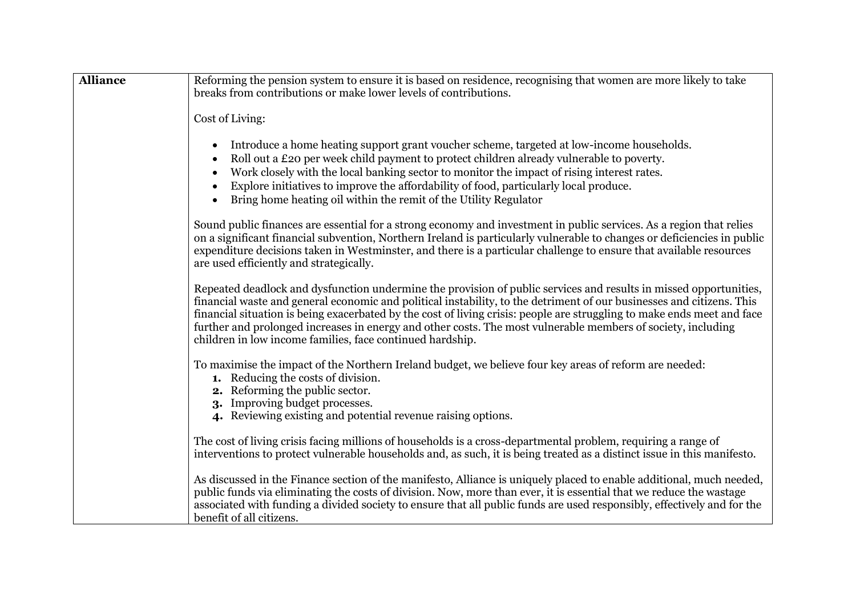| <b>Alliance</b> | Reforming the pension system to ensure it is based on residence, recognising that women are more likely to take                                                                                                                                                                                                                                                                                                                                                                                                                                    |
|-----------------|----------------------------------------------------------------------------------------------------------------------------------------------------------------------------------------------------------------------------------------------------------------------------------------------------------------------------------------------------------------------------------------------------------------------------------------------------------------------------------------------------------------------------------------------------|
|                 | breaks from contributions or make lower levels of contributions.                                                                                                                                                                                                                                                                                                                                                                                                                                                                                   |
|                 | Cost of Living:                                                                                                                                                                                                                                                                                                                                                                                                                                                                                                                                    |
|                 | Introduce a home heating support grant voucher scheme, targeted at low-income households.<br>Roll out a £20 per week child payment to protect children already vulnerable to poverty.<br>Work closely with the local banking sector to monitor the impact of rising interest rates.<br>Explore initiatives to improve the affordability of food, particularly local produce.<br>Bring home heating oil within the remit of the Utility Regulator                                                                                                   |
|                 | Sound public finances are essential for a strong economy and investment in public services. As a region that relies<br>on a significant financial subvention, Northern Ireland is particularly vulnerable to changes or deficiencies in public<br>expenditure decisions taken in Westminster, and there is a particular challenge to ensure that available resources<br>are used efficiently and strategically.                                                                                                                                    |
|                 | Repeated deadlock and dysfunction undermine the provision of public services and results in missed opportunities,<br>financial waste and general economic and political instability, to the detriment of our businesses and citizens. This<br>financial situation is being exacerbated by the cost of living crisis: people are struggling to make ends meet and face<br>further and prolonged increases in energy and other costs. The most vulnerable members of society, including<br>children in low income families, face continued hardship. |
|                 | To maximise the impact of the Northern Ireland budget, we believe four key areas of reform are needed:<br><b>1.</b> Reducing the costs of division.<br>2. Reforming the public sector.<br>3. Improving budget processes.<br>4. Reviewing existing and potential revenue raising options.                                                                                                                                                                                                                                                           |
|                 | The cost of living crisis facing millions of households is a cross-departmental problem, requiring a range of<br>interventions to protect vulnerable households and, as such, it is being treated as a distinct issue in this manifesto.                                                                                                                                                                                                                                                                                                           |
|                 | As discussed in the Finance section of the manifesto, Alliance is uniquely placed to enable additional, much needed,<br>public funds via eliminating the costs of division. Now, more than ever, it is essential that we reduce the wastage<br>associated with funding a divided society to ensure that all public funds are used responsibly, effectively and for the<br>benefit of all citizens.                                                                                                                                                 |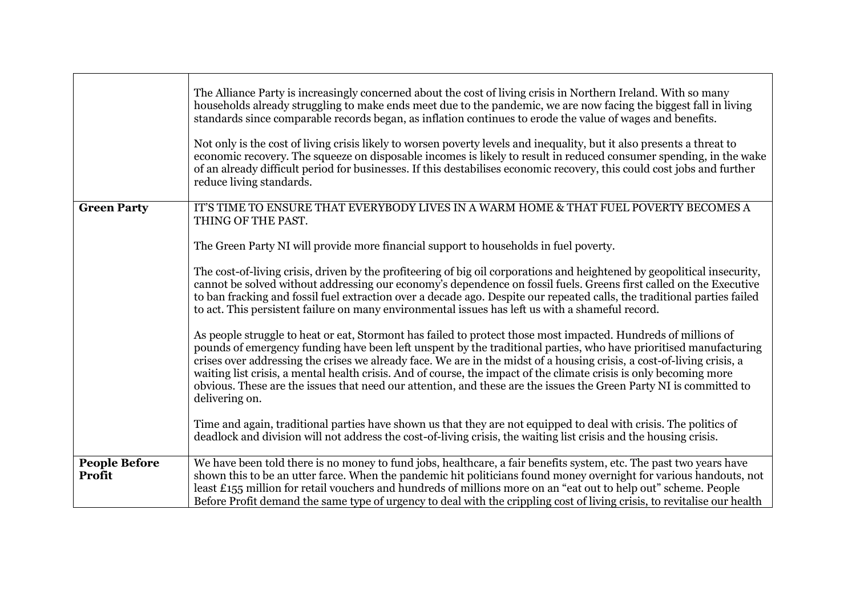|                                | The Alliance Party is increasingly concerned about the cost of living crisis in Northern Ireland. With so many<br>households already struggling to make ends meet due to the pandemic, we are now facing the biggest fall in living<br>standards since comparable records began, as inflation continues to erode the value of wages and benefits.<br>Not only is the cost of living crisis likely to worsen poverty levels and inequality, but it also presents a threat to<br>economic recovery. The squeeze on disposable incomes is likely to result in reduced consumer spending, in the wake<br>of an already difficult period for businesses. If this destabilises economic recovery, this could cost jobs and further<br>reduce living standards. |
|--------------------------------|----------------------------------------------------------------------------------------------------------------------------------------------------------------------------------------------------------------------------------------------------------------------------------------------------------------------------------------------------------------------------------------------------------------------------------------------------------------------------------------------------------------------------------------------------------------------------------------------------------------------------------------------------------------------------------------------------------------------------------------------------------|
| <b>Green Party</b>             | IT'S TIME TO ENSURE THAT EVERYBODY LIVES IN A WARM HOME & THAT FUEL POVERTY BECOMES A<br>THING OF THE PAST.                                                                                                                                                                                                                                                                                                                                                                                                                                                                                                                                                                                                                                              |
|                                | The Green Party NI will provide more financial support to households in fuel poverty.                                                                                                                                                                                                                                                                                                                                                                                                                                                                                                                                                                                                                                                                    |
|                                | The cost-of-living crisis, driven by the profiteering of big oil corporations and heightened by geopolitical insecurity,<br>cannot be solved without addressing our economy's dependence on fossil fuels. Greens first called on the Executive<br>to ban fracking and fossil fuel extraction over a decade ago. Despite our repeated calls, the traditional parties failed<br>to act. This persistent failure on many environmental issues has left us with a shameful record.                                                                                                                                                                                                                                                                           |
|                                | As people struggle to heat or eat, Stormont has failed to protect those most impacted. Hundreds of millions of<br>pounds of emergency funding have been left unspent by the traditional parties, who have prioritised manufacturing<br>crises over addressing the crises we already face. We are in the midst of a housing crisis, a cost-of-living crisis, a<br>waiting list crisis, a mental health crisis. And of course, the impact of the climate crisis is only becoming more<br>obvious. These are the issues that need our attention, and these are the issues the Green Party NI is committed to<br>delivering on.                                                                                                                              |
|                                | Time and again, traditional parties have shown us that they are not equipped to deal with crisis. The politics of<br>deadlock and division will not address the cost-of-living crisis, the waiting list crisis and the housing crisis.                                                                                                                                                                                                                                                                                                                                                                                                                                                                                                                   |
| <b>People Before</b><br>Profit | We have been told there is no money to fund jobs, healthcare, a fair benefits system, etc. The past two years have<br>shown this to be an utter farce. When the pandemic hit politicians found money overnight for various handouts, not<br>least £155 million for retail vouchers and hundreds of millions more on an "eat out to help out" scheme. People<br>Before Profit demand the same type of urgency to deal with the crippling cost of living crisis, to revitalise our health                                                                                                                                                                                                                                                                  |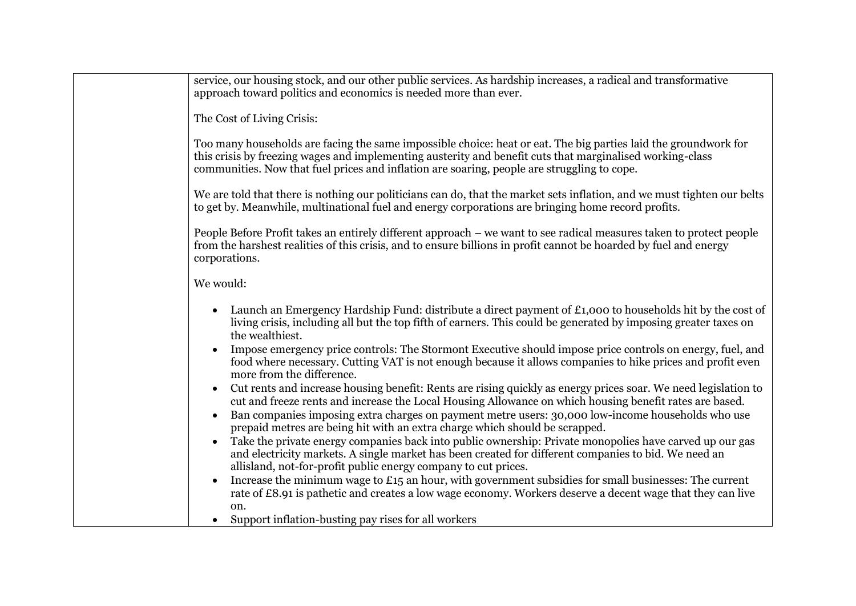| service, our housing stock, and our other public services. As hardship increases, a radical and transformative<br>approach toward politics and economics is needed more than ever.                                                                                                                                          |
|-----------------------------------------------------------------------------------------------------------------------------------------------------------------------------------------------------------------------------------------------------------------------------------------------------------------------------|
| The Cost of Living Crisis:                                                                                                                                                                                                                                                                                                  |
| Too many households are facing the same impossible choice: heat or eat. The big parties laid the groundwork for<br>this crisis by freezing wages and implementing austerity and benefit cuts that marginalised working-class<br>communities. Now that fuel prices and inflation are soaring, people are struggling to cope. |
| We are told that there is nothing our politicians can do, that the market sets inflation, and we must tighten our belts<br>to get by. Meanwhile, multinational fuel and energy corporations are bringing home record profits.                                                                                               |
| People Before Profit takes an entirely different approach – we want to see radical measures taken to protect people<br>from the harshest realities of this crisis, and to ensure billions in profit cannot be hoarded by fuel and energy<br>corporations.                                                                   |
| We would:                                                                                                                                                                                                                                                                                                                   |
| Launch an Emergency Hardship Fund: distribute a direct payment of £1,000 to households hit by the cost of<br>living crisis, including all but the top fifth of earners. This could be generated by imposing greater taxes on<br>the wealthiest.                                                                             |
| Impose emergency price controls: The Stormont Executive should impose price controls on energy, fuel, and<br>food where necessary. Cutting VAT is not enough because it allows companies to hike prices and profit even<br>more from the difference.                                                                        |
| Cut rents and increase housing benefit: Rents are rising quickly as energy prices soar. We need legislation to<br>$\bullet$<br>cut and freeze rents and increase the Local Housing Allowance on which housing benefit rates are based.                                                                                      |
| Ban companies imposing extra charges on payment metre users: 30,000 low-income households who use<br>$\bullet$<br>prepaid metres are being hit with an extra charge which should be scrapped.                                                                                                                               |
| Take the private energy companies back into public ownership: Private monopolies have carved up our gas<br>and electricity markets. A single market has been created for different companies to bid. We need an<br>allisland, not-for-profit public energy company to cut prices.                                           |
| Increase the minimum wage to $£15$ an hour, with government subsidies for small businesses: The current<br>$\bullet$<br>rate of £8.91 is pathetic and creates a low wage economy. Workers deserve a decent wage that they can live<br>on.                                                                                   |
| Support inflation-busting pay rises for all workers<br>$\bullet$                                                                                                                                                                                                                                                            |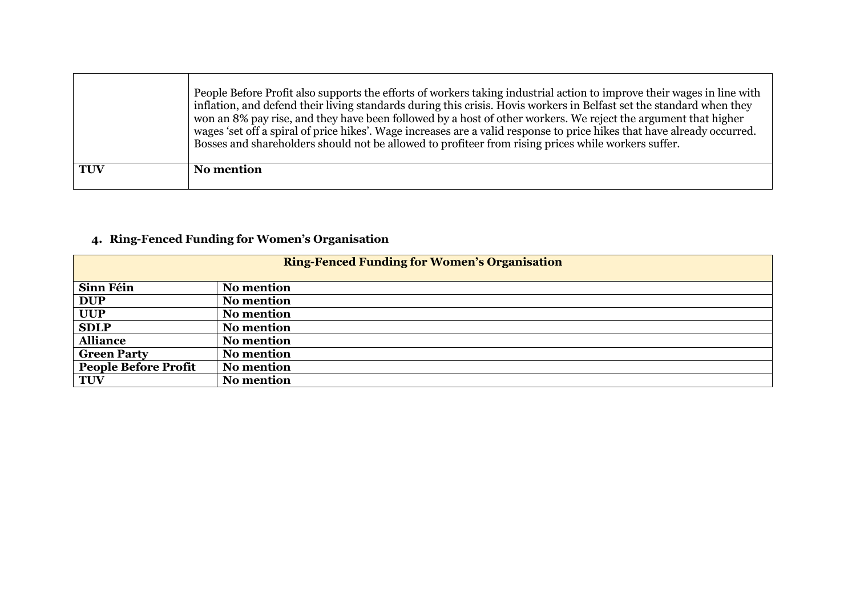|            | People Before Profit also supports the efforts of workers taking industrial action to improve their wages in line with<br>inflation, and defend their living standards during this crisis. Hovis workers in Belfast set the standard when they<br>won an 8% pay rise, and they have been followed by a host of other workers. We reject the argument that higher<br>wages 'set off a spiral of price hikes'. Wage increases are a valid response to price hikes that have already occurred.<br>Bosses and shareholders should not be allowed to profiteer from rising prices while workers suffer. |
|------------|----------------------------------------------------------------------------------------------------------------------------------------------------------------------------------------------------------------------------------------------------------------------------------------------------------------------------------------------------------------------------------------------------------------------------------------------------------------------------------------------------------------------------------------------------------------------------------------------------|
| <b>TUV</b> | <b>No mention</b>                                                                                                                                                                                                                                                                                                                                                                                                                                                                                                                                                                                  |

# **4. Ring-Fenced Funding for Women's Organisation**

| <b>Ring-Fenced Funding for Women's Organisation</b> |                   |
|-----------------------------------------------------|-------------------|
| Sinn Féin                                           | No mention        |
| <b>DUP</b>                                          | No mention        |
| <b>UUP</b>                                          | No mention        |
| <b>SDLP</b>                                         | No mention        |
| <b>Alliance</b>                                     | <b>No mention</b> |
| <b>Green Party</b>                                  | No mention        |
| <b>People Before Profit</b>                         | <b>No mention</b> |
| <b>TUV</b>                                          | No mention        |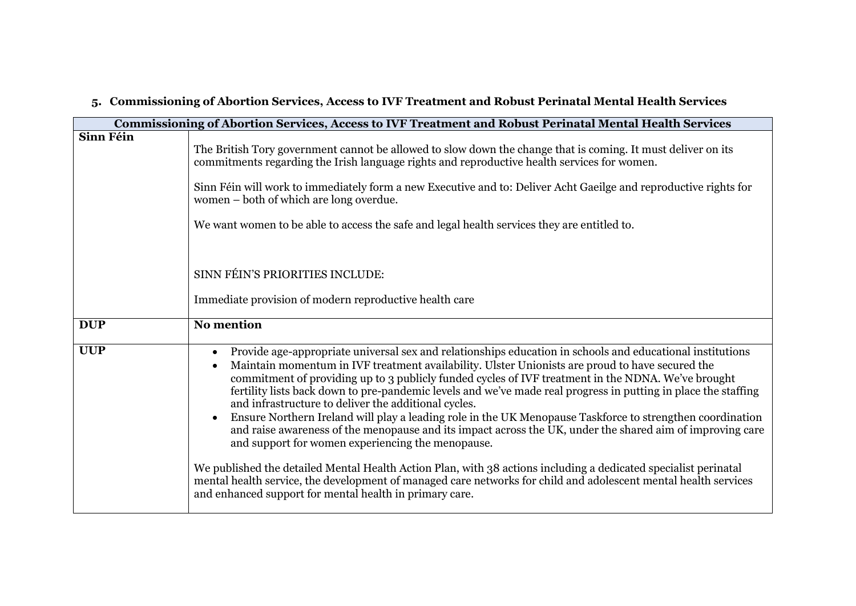|            | Commissioning of Abortion Services, Access to IVF Treatment and Robust Perinatal Mental Health Services                                                                                                                                                                                                                                                                                                                                                                                                                                                                                                                                                                                                                                                                                                                                                                                                                                                                                                                                                                                   |
|------------|-------------------------------------------------------------------------------------------------------------------------------------------------------------------------------------------------------------------------------------------------------------------------------------------------------------------------------------------------------------------------------------------------------------------------------------------------------------------------------------------------------------------------------------------------------------------------------------------------------------------------------------------------------------------------------------------------------------------------------------------------------------------------------------------------------------------------------------------------------------------------------------------------------------------------------------------------------------------------------------------------------------------------------------------------------------------------------------------|
| Sinn Féin  | The British Tory government cannot be allowed to slow down the change that is coming. It must deliver on its<br>commitments regarding the Irish language rights and reproductive health services for women.<br>Sinn Féin will work to immediately form a new Executive and to: Deliver Acht Gaeilge and reproductive rights for<br>women – both of which are long overdue.<br>We want women to be able to access the safe and legal health services they are entitled to.                                                                                                                                                                                                                                                                                                                                                                                                                                                                                                                                                                                                                 |
|            | SINN FÉIN'S PRIORITIES INCLUDE:<br>Immediate provision of modern reproductive health care                                                                                                                                                                                                                                                                                                                                                                                                                                                                                                                                                                                                                                                                                                                                                                                                                                                                                                                                                                                                 |
| <b>DUP</b> | No mention                                                                                                                                                                                                                                                                                                                                                                                                                                                                                                                                                                                                                                                                                                                                                                                                                                                                                                                                                                                                                                                                                |
| <b>UUP</b> | Provide age-appropriate universal sex and relationships education in schools and educational institutions<br>$\bullet$<br>Maintain momentum in IVF treatment availability. Ulster Unionists are proud to have secured the<br>commitment of providing up to 3 publicly funded cycles of IVF treatment in the NDNA. We've brought<br>fertility lists back down to pre-pandemic levels and we've made real progress in putting in place the staffing<br>and infrastructure to deliver the additional cycles.<br>Ensure Northern Ireland will play a leading role in the UK Menopause Taskforce to strengthen coordination<br>and raise awareness of the menopause and its impact across the UK, under the shared aim of improving care<br>and support for women experiencing the menopause.<br>We published the detailed Mental Health Action Plan, with 38 actions including a dedicated specialist perinatal<br>mental health service, the development of managed care networks for child and adolescent mental health services<br>and enhanced support for mental health in primary care. |

#### **5. Commissioning of Abortion Services, Access to IVF Treatment and Robust Perinatal Mental Health Services**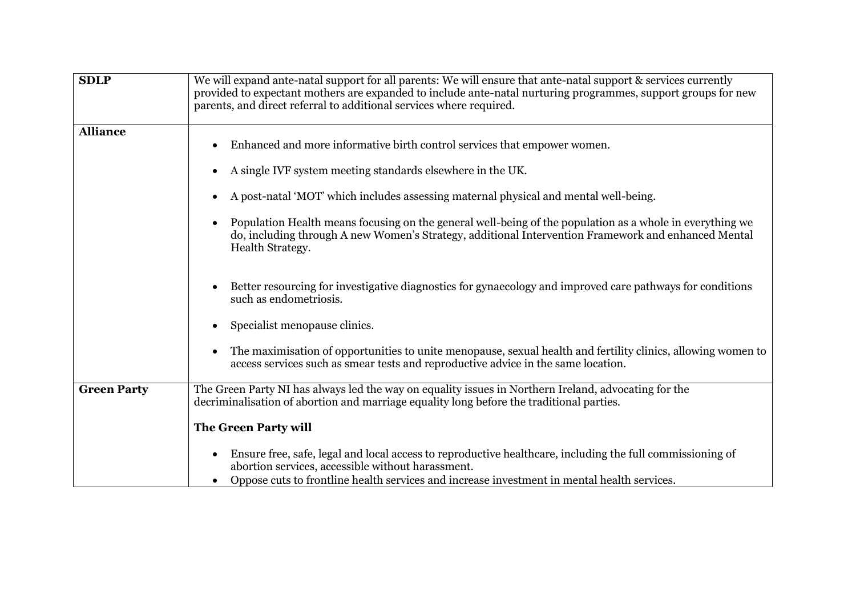| <b>SDLP</b>        | We will expand ante-natal support for all parents: We will ensure that ante-natal support & services currently<br>provided to expectant mothers are expanded to include ante-natal nurturing programmes, support groups for new<br>parents, and direct referral to additional services where required.                                                                                                                                                                             |
|--------------------|------------------------------------------------------------------------------------------------------------------------------------------------------------------------------------------------------------------------------------------------------------------------------------------------------------------------------------------------------------------------------------------------------------------------------------------------------------------------------------|
| <b>Alliance</b>    | Enhanced and more informative birth control services that empower women.<br>A single IVF system meeting standards elsewhere in the UK.<br>A post-natal 'MOT' which includes assessing maternal physical and mental well-being.<br>$\bullet$<br>Population Health means focusing on the general well-being of the population as a whole in everything we<br>do, including through A new Women's Strategy, additional Intervention Framework and enhanced Mental<br>Health Strategy. |
|                    | Better resourcing for investigative diagnostics for gynaecology and improved care pathways for conditions<br>such as endometriosis.<br>Specialist menopause clinics.                                                                                                                                                                                                                                                                                                               |
|                    | The maximisation of opportunities to unite menopause, sexual health and fertility clinics, allowing women to<br>access services such as smear tests and reproductive advice in the same location.                                                                                                                                                                                                                                                                                  |
| <b>Green Party</b> | The Green Party NI has always led the way on equality issues in Northern Ireland, advocating for the<br>decriminalisation of abortion and marriage equality long before the traditional parties.<br>The Green Party will                                                                                                                                                                                                                                                           |
|                    | Ensure free, safe, legal and local access to reproductive healthcare, including the full commissioning of<br>abortion services, accessible without harassment.<br>Oppose cuts to frontline health services and increase investment in mental health services.                                                                                                                                                                                                                      |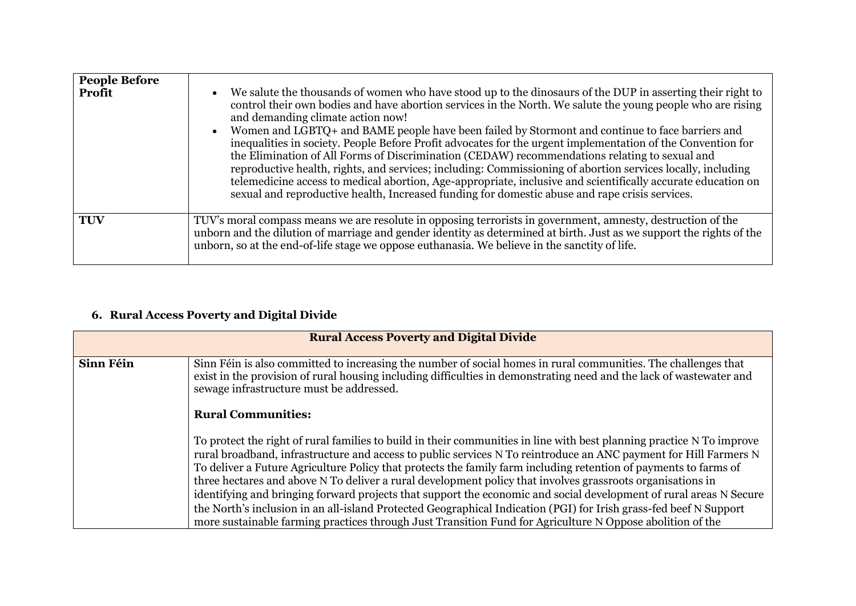| <b>People Before</b><br><b>Profit</b> | We salute the thousands of women who have stood up to the dinosaurs of the DUP in asserting their right to<br>control their own bodies and have abortion services in the North. We salute the young people who are rising<br>and demanding climate action now!<br>Women and LGBTQ+ and BAME people have been failed by Stormont and continue to face barriers and<br>inequalities in society. People Before Profit advocates for the urgent implementation of the Convention for<br>the Elimination of All Forms of Discrimination (CEDAW) recommendations relating to sexual and<br>reproductive health, rights, and services; including: Commissioning of abortion services locally, including<br>telemedicine access to medical abortion, Age-appropriate, inclusive and scientifically accurate education on<br>sexual and reproductive health, Increased funding for domestic abuse and rape crisis services. |
|---------------------------------------|--------------------------------------------------------------------------------------------------------------------------------------------------------------------------------------------------------------------------------------------------------------------------------------------------------------------------------------------------------------------------------------------------------------------------------------------------------------------------------------------------------------------------------------------------------------------------------------------------------------------------------------------------------------------------------------------------------------------------------------------------------------------------------------------------------------------------------------------------------------------------------------------------------------------|
| <b>TUV</b>                            | TUV's moral compass means we are resolute in opposing terrorists in government, amnesty, destruction of the<br>unborn and the dilution of marriage and gender identity as determined at birth. Just as we support the rights of the<br>unborn, so at the end-of-life stage we oppose euthanasia. We believe in the sanctity of life.                                                                                                                                                                                                                                                                                                                                                                                                                                                                                                                                                                               |

# **6. Rural Access Poverty and Digital Divide**

| <b>Rural Access Poverty and Digital Divide</b> |                                                                                                                                                                                                                                                                                                                                                                                                                                                                                                                                                                                                                                                                                                                                                                                                                                     |
|------------------------------------------------|-------------------------------------------------------------------------------------------------------------------------------------------------------------------------------------------------------------------------------------------------------------------------------------------------------------------------------------------------------------------------------------------------------------------------------------------------------------------------------------------------------------------------------------------------------------------------------------------------------------------------------------------------------------------------------------------------------------------------------------------------------------------------------------------------------------------------------------|
| Sinn Féin                                      | Sinn Féin is also committed to increasing the number of social homes in rural communities. The challenges that<br>exist in the provision of rural housing including difficulties in demonstrating need and the lack of wastewater and<br>sewage infrastructure must be addressed.                                                                                                                                                                                                                                                                                                                                                                                                                                                                                                                                                   |
|                                                | <b>Rural Communities:</b>                                                                                                                                                                                                                                                                                                                                                                                                                                                                                                                                                                                                                                                                                                                                                                                                           |
|                                                | To protect the right of rural families to build in their communities in line with best planning practice N To improve<br>rural broadband, infrastructure and access to public services N To reintroduce an ANC payment for Hill Farmers N<br>To deliver a Future Agriculture Policy that protects the family farm including retention of payments to farms of<br>three hectares and above N To deliver a rural development policy that involves grassroots organisations in<br>identifying and bringing forward projects that support the economic and social development of rural areas N Secure<br>the North's inclusion in an all-island Protected Geographical Indication (PGI) for Irish grass-fed beef N Support<br>more sustainable farming practices through Just Transition Fund for Agriculture N Oppose abolition of the |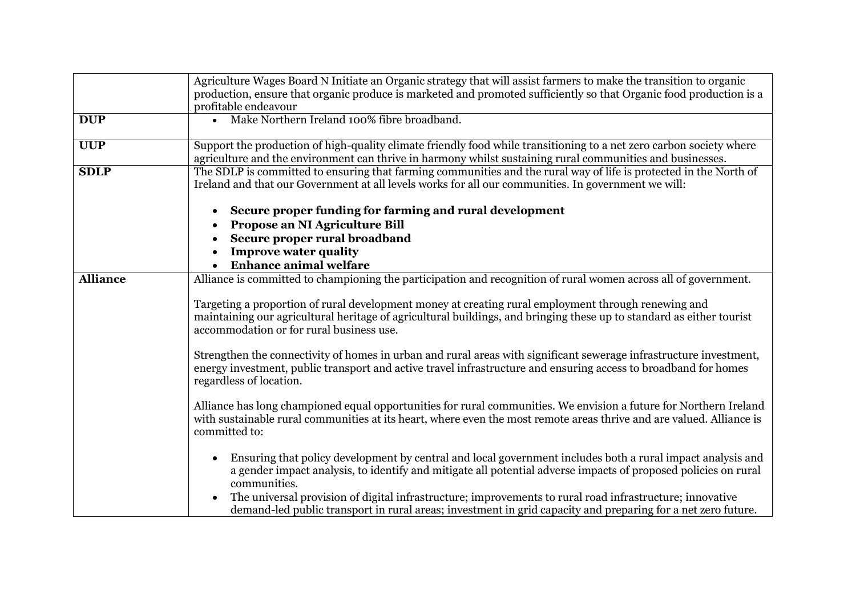|                 | Agriculture Wages Board N Initiate an Organic strategy that will assist farmers to make the transition to organic<br>production, ensure that organic produce is marketed and promoted sufficiently so that Organic food production is a<br>profitable endeavour         |
|-----------------|-------------------------------------------------------------------------------------------------------------------------------------------------------------------------------------------------------------------------------------------------------------------------|
| <b>DUP</b>      | Make Northern Ireland 100% fibre broadband.<br>$\bullet$                                                                                                                                                                                                                |
| <b>UUP</b>      | Support the production of high-quality climate friendly food while transitioning to a net zero carbon society where<br>agriculture and the environment can thrive in harmony whilst sustaining rural communities and businesses.                                        |
| <b>SDLP</b>     | The SDLP is committed to ensuring that farming communities and the rural way of life is protected in the North of<br>Ireland and that our Government at all levels works for all our communities. In government we will:                                                |
|                 | Secure proper funding for farming and rural development<br>Propose an NI Agriculture Bill<br>Secure proper rural broadband                                                                                                                                              |
|                 | <b>Improve water quality</b><br><b>Enhance animal welfare</b>                                                                                                                                                                                                           |
| <b>Alliance</b> | Alliance is committed to championing the participation and recognition of rural women across all of government.                                                                                                                                                         |
|                 | Targeting a proportion of rural development money at creating rural employment through renewing and<br>maintaining our agricultural heritage of agricultural buildings, and bringing these up to standard as either tourist<br>accommodation or for rural business use. |
|                 | Strengthen the connectivity of homes in urban and rural areas with significant sewerage infrastructure investment,<br>energy investment, public transport and active travel infrastructure and ensuring access to broadband for homes<br>regardless of location.        |
|                 | Alliance has long championed equal opportunities for rural communities. We envision a future for Northern Ireland<br>with sustainable rural communities at its heart, where even the most remote areas thrive and are valued. Alliance is<br>committed to:              |
|                 | Ensuring that policy development by central and local government includes both a rural impact analysis and<br>a gender impact analysis, to identify and mitigate all potential adverse impacts of proposed policies on rural<br>communities.                            |
|                 | The universal provision of digital infrastructure; improvements to rural road infrastructure; innovative<br>demand-led public transport in rural areas; investment in grid capacity and preparing for a net zero future.                                                |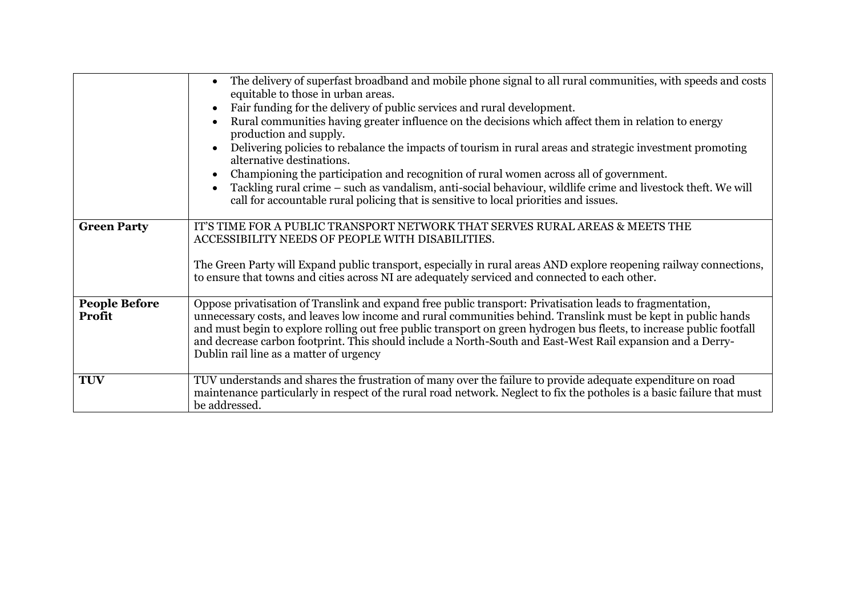|                                | The delivery of superfast broadband and mobile phone signal to all rural communities, with speeds and costs<br>equitable to those in urban areas.<br>Fair funding for the delivery of public services and rural development.<br>Rural communities having greater influence on the decisions which affect them in relation to energy<br>production and supply.<br>Delivering policies to rebalance the impacts of tourism in rural areas and strategic investment promoting<br>alternative destinations.<br>Championing the participation and recognition of rural women across all of government.<br>Tackling rural crime - such as vandalism, anti-social behaviour, wildlife crime and livestock theft. We will<br>call for accountable rural policing that is sensitive to local priorities and issues. |
|--------------------------------|------------------------------------------------------------------------------------------------------------------------------------------------------------------------------------------------------------------------------------------------------------------------------------------------------------------------------------------------------------------------------------------------------------------------------------------------------------------------------------------------------------------------------------------------------------------------------------------------------------------------------------------------------------------------------------------------------------------------------------------------------------------------------------------------------------|
| <b>Green Party</b>             | IT'S TIME FOR A PUBLIC TRANSPORT NETWORK THAT SERVES RURAL AREAS & MEETS THE<br>ACCESSIBILITY NEEDS OF PEOPLE WITH DISABILITIES.<br>The Green Party will Expand public transport, especially in rural areas AND explore reopening railway connections,<br>to ensure that towns and cities across NI are adequately serviced and connected to each other.                                                                                                                                                                                                                                                                                                                                                                                                                                                   |
| <b>People Before</b><br>Profit | Oppose privatisation of Translink and expand free public transport: Privatisation leads to fragmentation,<br>unnecessary costs, and leaves low income and rural communities behind. Translink must be kept in public hands<br>and must begin to explore rolling out free public transport on green hydrogen bus fleets, to increase public footfall<br>and decrease carbon footprint. This should include a North-South and East-West Rail expansion and a Derry-<br>Dublin rail line as a matter of urgency                                                                                                                                                                                                                                                                                               |
| <b>TUV</b>                     | TUV understands and shares the frustration of many over the failure to provide adequate expenditure on road<br>maintenance particularly in respect of the rural road network. Neglect to fix the potholes is a basic failure that must<br>be addressed.                                                                                                                                                                                                                                                                                                                                                                                                                                                                                                                                                    |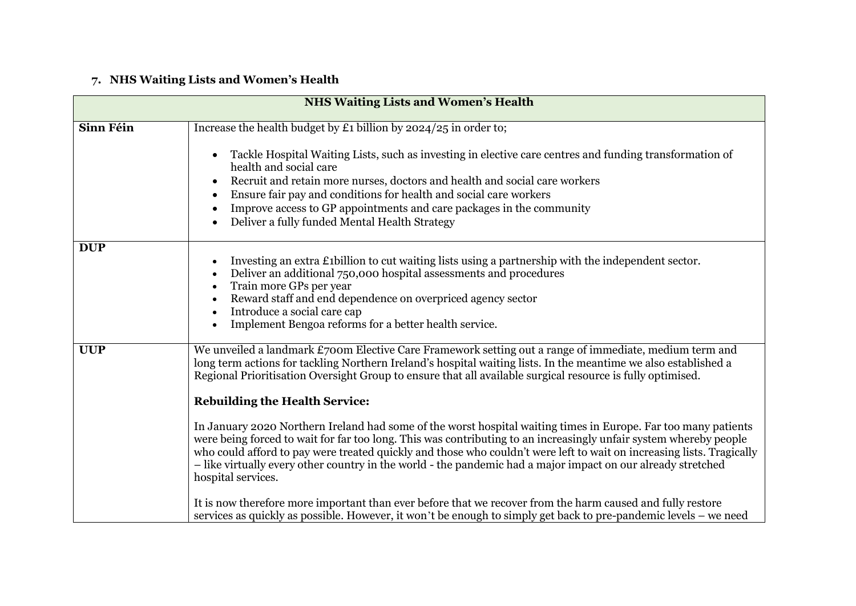# **7. NHS Waiting Lists and Women's Health**

| <b>NHS Waiting Lists and Women's Health</b> |                                                                                                                                                                                                                                                                                                                                                                                                                                                                                                                                                                                                                                                                                                                                                                                                                                                                                                                                                                                                                                                                                                                          |
|---------------------------------------------|--------------------------------------------------------------------------------------------------------------------------------------------------------------------------------------------------------------------------------------------------------------------------------------------------------------------------------------------------------------------------------------------------------------------------------------------------------------------------------------------------------------------------------------------------------------------------------------------------------------------------------------------------------------------------------------------------------------------------------------------------------------------------------------------------------------------------------------------------------------------------------------------------------------------------------------------------------------------------------------------------------------------------------------------------------------------------------------------------------------------------|
| Sinn Féin                                   | Increase the health budget by £1 billion by $2024/25$ in order to;                                                                                                                                                                                                                                                                                                                                                                                                                                                                                                                                                                                                                                                                                                                                                                                                                                                                                                                                                                                                                                                       |
|                                             | Tackle Hospital Waiting Lists, such as investing in elective care centres and funding transformation of<br>health and social care<br>Recruit and retain more nurses, doctors and health and social care workers<br>Ensure fair pay and conditions for health and social care workers<br>Improve access to GP appointments and care packages in the community<br>Deliver a fully funded Mental Health Strategy<br>$\bullet$                                                                                                                                                                                                                                                                                                                                                                                                                                                                                                                                                                                                                                                                                               |
| <b>DUP</b>                                  | Investing an extra £1billion to cut waiting lists using a partnership with the independent sector.<br>Deliver an additional 750,000 hospital assessments and procedures<br>Train more GPs per year<br>Reward staff and end dependence on overpriced agency sector<br>$\bullet$<br>Introduce a social care cap<br>$\bullet$<br>Implement Bengoa reforms for a better health service.<br>$\bullet$                                                                                                                                                                                                                                                                                                                                                                                                                                                                                                                                                                                                                                                                                                                         |
| <b>UUP</b>                                  | We unveiled a landmark £700m Elective Care Framework setting out a range of immediate, medium term and<br>long term actions for tackling Northern Ireland's hospital waiting lists. In the meantime we also established a<br>Regional Prioritisation Oversight Group to ensure that all available surgical resource is fully optimised.<br><b>Rebuilding the Health Service:</b><br>In January 2020 Northern Ireland had some of the worst hospital waiting times in Europe. Far too many patients<br>were being forced to wait for far too long. This was contributing to an increasingly unfair system whereby people<br>who could afford to pay were treated quickly and those who couldn't were left to wait on increasing lists. Tragically<br>- like virtually every other country in the world - the pandemic had a major impact on our already stretched<br>hospital services.<br>It is now therefore more important than ever before that we recover from the harm caused and fully restore<br>services as quickly as possible. However, it won't be enough to simply get back to pre-pandemic levels - we need |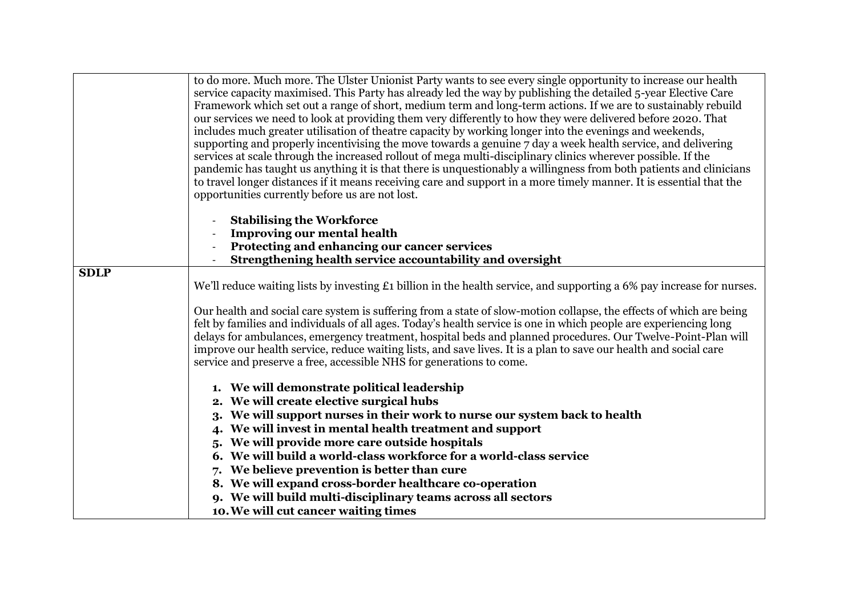|             | to do more. Much more. The Ulster Unionist Party wants to see every single opportunity to increase our health<br>service capacity maximised. This Party has already led the way by publishing the detailed 5-year Elective Care |
|-------------|---------------------------------------------------------------------------------------------------------------------------------------------------------------------------------------------------------------------------------|
|             | Framework which set out a range of short, medium term and long-term actions. If we are to sustainably rebuild                                                                                                                   |
|             | our services we need to look at providing them very differently to how they were delivered before 2020. That                                                                                                                    |
|             | includes much greater utilisation of theatre capacity by working longer into the evenings and weekends,                                                                                                                         |
|             | supporting and properly incentivising the move towards a genuine 7 day a week health service, and delivering                                                                                                                    |
|             | services at scale through the increased rollout of mega multi-disciplinary clinics wherever possible. If the                                                                                                                    |
|             | pandemic has taught us anything it is that there is unquestionably a willingness from both patients and clinicians                                                                                                              |
|             | to travel longer distances if it means receiving care and support in a more timely manner. It is essential that the                                                                                                             |
|             | opportunities currently before us are not lost.                                                                                                                                                                                 |
|             | <b>Stabilising the Workforce</b>                                                                                                                                                                                                |
|             | <b>Improving our mental health</b>                                                                                                                                                                                              |
|             | Protecting and enhancing our cancer services                                                                                                                                                                                    |
|             | Strengthening health service accountability and oversight                                                                                                                                                                       |
| <b>SDLP</b> |                                                                                                                                                                                                                                 |
|             | We'll reduce waiting lists by investing £1 billion in the health service, and supporting a 6% pay increase for nurses.                                                                                                          |
|             | Our health and social care system is suffering from a state of slow-motion collapse, the effects of which are being                                                                                                             |
|             | felt by families and individuals of all ages. Today's health service is one in which people are experiencing long                                                                                                               |
|             | delays for ambulances, emergency treatment, hospital beds and planned procedures. Our Twelve-Point-Plan will                                                                                                                    |
|             | improve our health service, reduce waiting lists, and save lives. It is a plan to save our health and social care                                                                                                               |
|             | service and preserve a free, accessible NHS for generations to come.                                                                                                                                                            |
|             |                                                                                                                                                                                                                                 |
|             | 1. We will demonstrate political leadership                                                                                                                                                                                     |
|             | 2. We will create elective surgical hubs                                                                                                                                                                                        |
|             | 3. We will support nurses in their work to nurse our system back to health                                                                                                                                                      |
|             | 4. We will invest in mental health treatment and support                                                                                                                                                                        |
|             | 5. We will provide more care outside hospitals                                                                                                                                                                                  |
|             | 6. We will build a world-class workforce for a world-class service                                                                                                                                                              |
|             | 7. We believe prevention is better than cure                                                                                                                                                                                    |
|             | 8. We will expand cross-border healthcare co-operation                                                                                                                                                                          |
|             | 9. We will build multi-disciplinary teams across all sectors                                                                                                                                                                    |
|             | 10. We will cut cancer waiting times                                                                                                                                                                                            |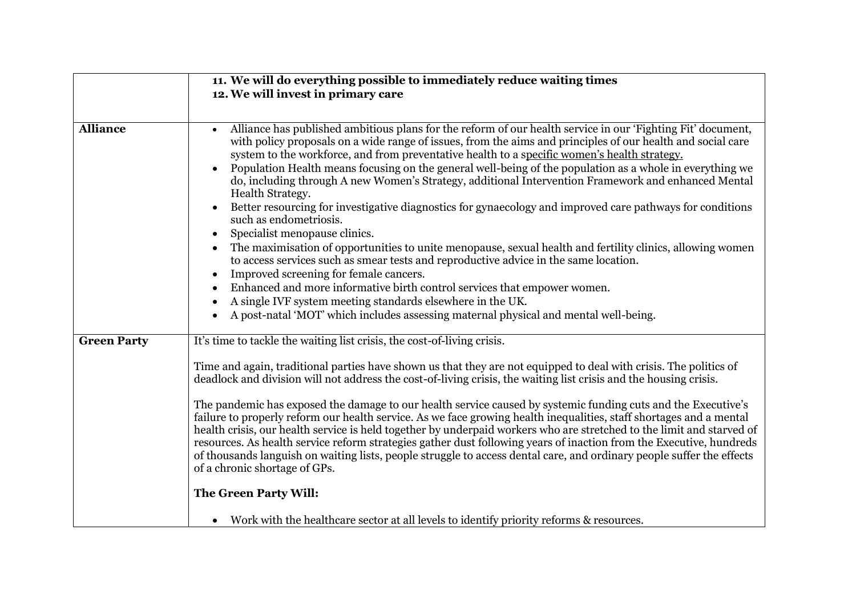| 11. We will do everything possible to immediately reduce waiting times                                                                                                                                                                                                                                                                                                                                                                                                                                                                                                                                                                                                                                                                                                                                                                                                                                                                                                                                                                                                                                                                                                                                                                  |
|-----------------------------------------------------------------------------------------------------------------------------------------------------------------------------------------------------------------------------------------------------------------------------------------------------------------------------------------------------------------------------------------------------------------------------------------------------------------------------------------------------------------------------------------------------------------------------------------------------------------------------------------------------------------------------------------------------------------------------------------------------------------------------------------------------------------------------------------------------------------------------------------------------------------------------------------------------------------------------------------------------------------------------------------------------------------------------------------------------------------------------------------------------------------------------------------------------------------------------------------|
| 12. We will invest in primary care                                                                                                                                                                                                                                                                                                                                                                                                                                                                                                                                                                                                                                                                                                                                                                                                                                                                                                                                                                                                                                                                                                                                                                                                      |
|                                                                                                                                                                                                                                                                                                                                                                                                                                                                                                                                                                                                                                                                                                                                                                                                                                                                                                                                                                                                                                                                                                                                                                                                                                         |
| Alliance has published ambitious plans for the reform of our health service in our 'Fighting Fit' document,<br>$\bullet$<br>with policy proposals on a wide range of issues, from the aims and principles of our health and social care<br>system to the workforce, and from preventative health to a specific women's health strategy.<br>Population Health means focusing on the general well-being of the population as a whole in everything we<br>do, including through A new Women's Strategy, additional Intervention Framework and enhanced Mental<br>Health Strategy.<br>Better resourcing for investigative diagnostics for gynaecology and improved care pathways for conditions<br>such as endometriosis.<br>Specialist menopause clinics.<br>The maximisation of opportunities to unite menopause, sexual health and fertility clinics, allowing women<br>to access services such as smear tests and reproductive advice in the same location.<br>Improved screening for female cancers.<br>Enhanced and more informative birth control services that empower women.<br>A single IVF system meeting standards elsewhere in the UK.<br>A post-natal 'MOT' which includes assessing maternal physical and mental well-being. |
|                                                                                                                                                                                                                                                                                                                                                                                                                                                                                                                                                                                                                                                                                                                                                                                                                                                                                                                                                                                                                                                                                                                                                                                                                                         |
| It's time to tackle the waiting list crisis, the cost-of-living crisis.<br>Time and again, traditional parties have shown us that they are not equipped to deal with crisis. The politics of<br>deadlock and division will not address the cost-of-living crisis, the waiting list crisis and the housing crisis.<br>The pandemic has exposed the damage to our health service caused by systemic funding cuts and the Executive's<br>failure to properly reform our health service. As we face growing health inequalities, staff shortages and a mental<br>health crisis, our health service is held together by underpaid workers who are stretched to the limit and starved of<br>resources. As health service reform strategies gather dust following years of inaction from the Executive, hundreds<br>of thousands languish on waiting lists, people struggle to access dental care, and ordinary people suffer the effects<br>of a chronic shortage of GPs.<br>The Green Party Will:<br>Work with the healthcare sector at all levels to identify priority reforms & resources.                                                                                                                                                 |
|                                                                                                                                                                                                                                                                                                                                                                                                                                                                                                                                                                                                                                                                                                                                                                                                                                                                                                                                                                                                                                                                                                                                                                                                                                         |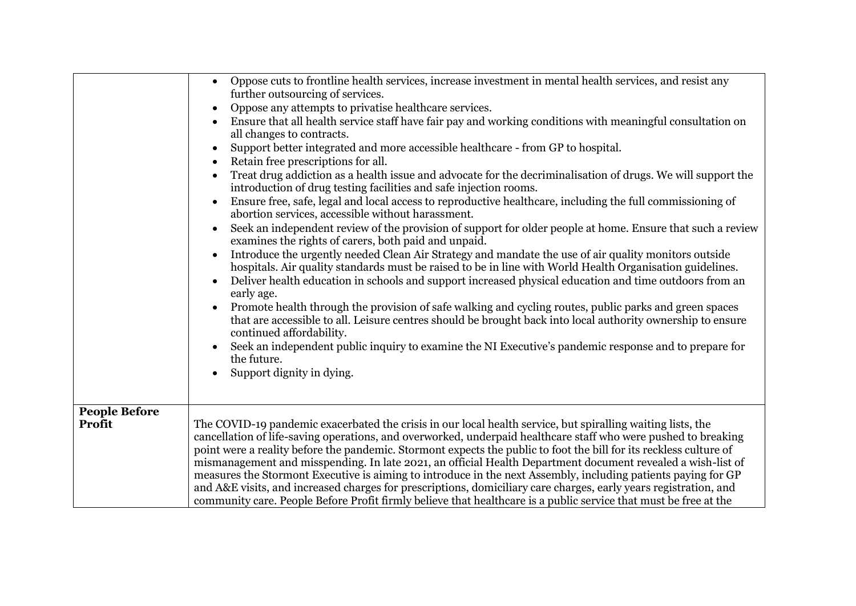|                                | Oppose cuts to frontline health services, increase investment in mental health services, and resist any<br>further outsourcing of services.<br>Oppose any attempts to privatise healthcare services.<br>Ensure that all health service staff have fair pay and working conditions with meaningful consultation on<br>all changes to contracts.<br>Support better integrated and more accessible healthcare - from GP to hospital.<br>Retain free prescriptions for all.<br>Treat drug addiction as a health issue and advocate for the decriminalisation of drugs. We will support the<br>introduction of drug testing facilities and safe injection rooms.<br>Ensure free, safe, legal and local access to reproductive healthcare, including the full commissioning of<br>abortion services, accessible without harassment.<br>Seek an independent review of the provision of support for older people at home. Ensure that such a review<br>examines the rights of carers, both paid and unpaid.<br>Introduce the urgently needed Clean Air Strategy and mandate the use of air quality monitors outside<br>hospitals. Air quality standards must be raised to be in line with World Health Organisation guidelines.<br>Deliver health education in schools and support increased physical education and time outdoors from an<br>early age.<br>Promote health through the provision of safe walking and cycling routes, public parks and green spaces<br>that are accessible to all. Leisure centres should be brought back into local authority ownership to ensure<br>continued affordability.<br>Seek an independent public inquiry to examine the NI Executive's pandemic response and to prepare for<br>the future.<br>Support dignity in dying. |
|--------------------------------|-----------------------------------------------------------------------------------------------------------------------------------------------------------------------------------------------------------------------------------------------------------------------------------------------------------------------------------------------------------------------------------------------------------------------------------------------------------------------------------------------------------------------------------------------------------------------------------------------------------------------------------------------------------------------------------------------------------------------------------------------------------------------------------------------------------------------------------------------------------------------------------------------------------------------------------------------------------------------------------------------------------------------------------------------------------------------------------------------------------------------------------------------------------------------------------------------------------------------------------------------------------------------------------------------------------------------------------------------------------------------------------------------------------------------------------------------------------------------------------------------------------------------------------------------------------------------------------------------------------------------------------------------------------------------------------------------------------------------------------------------------------|
|                                |                                                                                                                                                                                                                                                                                                                                                                                                                                                                                                                                                                                                                                                                                                                                                                                                                                                                                                                                                                                                                                                                                                                                                                                                                                                                                                                                                                                                                                                                                                                                                                                                                                                                                                                                                           |
| <b>People Before</b><br>Profit | The COVID-19 pandemic exacerbated the crisis in our local health service, but spiralling waiting lists, the<br>cancellation of life-saving operations, and overworked, underpaid healthcare staff who were pushed to breaking<br>point were a reality before the pandemic. Stormont expects the public to foot the bill for its reckless culture of<br>mismanagement and misspending. In late 2021, an official Health Department document revealed a wish-list of<br>measures the Stormont Executive is aiming to introduce in the next Assembly, including patients paying for GP<br>and A&E visits, and increased charges for prescriptions, domiciliary care charges, early years registration, and<br>community care. People Before Profit firmly believe that healthcare is a public service that must be free at the                                                                                                                                                                                                                                                                                                                                                                                                                                                                                                                                                                                                                                                                                                                                                                                                                                                                                                                               |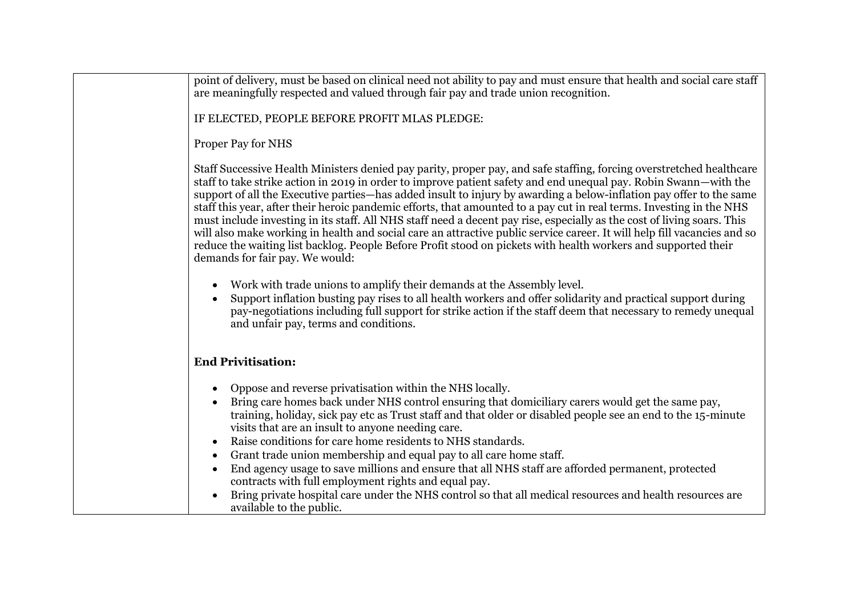| point of delivery, must be based on clinical need not ability to pay and must ensure that health and social care staff<br>are meaningfully respected and valued through fair pay and trade union recognition.                                                                                                                                                                                                                                                                                                                                                                                                                                                                                                                                                                                                                                                                                       |
|-----------------------------------------------------------------------------------------------------------------------------------------------------------------------------------------------------------------------------------------------------------------------------------------------------------------------------------------------------------------------------------------------------------------------------------------------------------------------------------------------------------------------------------------------------------------------------------------------------------------------------------------------------------------------------------------------------------------------------------------------------------------------------------------------------------------------------------------------------------------------------------------------------|
| IF ELECTED, PEOPLE BEFORE PROFIT MLAS PLEDGE:                                                                                                                                                                                                                                                                                                                                                                                                                                                                                                                                                                                                                                                                                                                                                                                                                                                       |
| Proper Pay for NHS                                                                                                                                                                                                                                                                                                                                                                                                                                                                                                                                                                                                                                                                                                                                                                                                                                                                                  |
| Staff Successive Health Ministers denied pay parity, proper pay, and safe staffing, forcing overstretched healthcare<br>staff to take strike action in 2019 in order to improve patient safety and end unequal pay. Robin Swann—with the<br>support of all the Executive parties—has added insult to injury by awarding a below-inflation pay offer to the same<br>staff this year, after their heroic pandemic efforts, that amounted to a pay cut in real terms. Investing in the NHS<br>must include investing in its staff. All NHS staff need a decent pay rise, especially as the cost of living soars. This<br>will also make working in health and social care an attractive public service career. It will help fill vacancies and so<br>reduce the waiting list backlog. People Before Profit stood on pickets with health workers and supported their<br>demands for fair pay. We would: |
| Work with trade unions to amplify their demands at the Assembly level.<br>Support inflation busting pay rises to all health workers and offer solidarity and practical support during<br>pay-negotiations including full support for strike action if the staff deem that necessary to remedy unequal<br>and unfair pay, terms and conditions.                                                                                                                                                                                                                                                                                                                                                                                                                                                                                                                                                      |
| <b>End Privitisation:</b>                                                                                                                                                                                                                                                                                                                                                                                                                                                                                                                                                                                                                                                                                                                                                                                                                                                                           |
| Oppose and reverse privatisation within the NHS locally.<br>Bring care homes back under NHS control ensuring that domiciliary carers would get the same pay,<br>training, holiday, sick pay etc as Trust staff and that older or disabled people see an end to the 15-minute<br>visits that are an insult to anyone needing care.<br>Raise conditions for care home residents to NHS standards.<br>Grant trade union membership and equal pay to all care home staff.<br>$\bullet$<br>End agency usage to save millions and ensure that all NHS staff are afforded permanent, protected<br>$\bullet$<br>contracts with full employment rights and equal pay.<br>Bring private hospital care under the NHS control so that all medical resources and health resources are<br>available to the public.                                                                                                |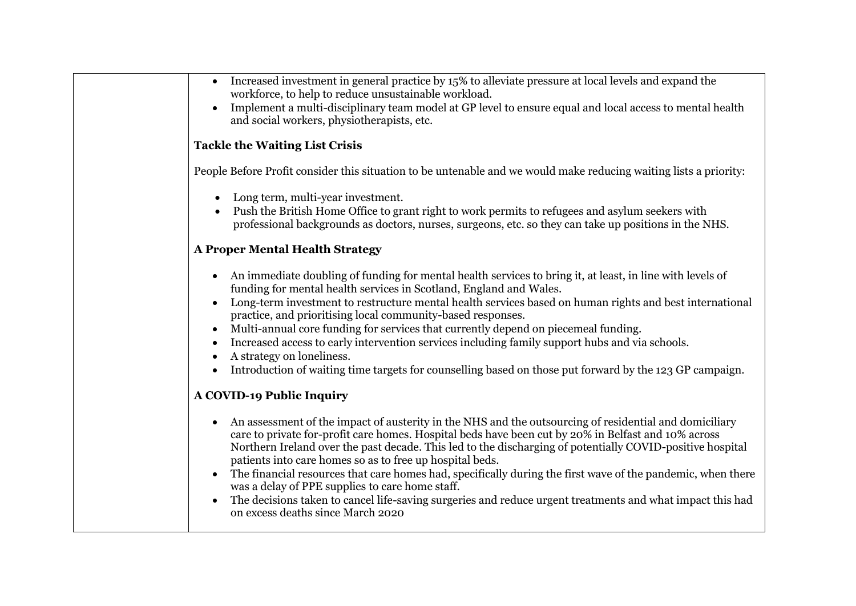| Increased investment in general practice by 15% to alleviate pressure at local levels and expand the<br>workforce, to help to reduce unsustainable workload.<br>Implement a multi-disciplinary team model at GP level to ensure equal and local access to mental health<br>and social workers, physiotherapists, etc.                                                                                                                                                                                                                                                                                                                                                                                                                             |
|---------------------------------------------------------------------------------------------------------------------------------------------------------------------------------------------------------------------------------------------------------------------------------------------------------------------------------------------------------------------------------------------------------------------------------------------------------------------------------------------------------------------------------------------------------------------------------------------------------------------------------------------------------------------------------------------------------------------------------------------------|
| <b>Tackle the Waiting List Crisis</b>                                                                                                                                                                                                                                                                                                                                                                                                                                                                                                                                                                                                                                                                                                             |
| People Before Profit consider this situation to be untenable and we would make reducing waiting lists a priority:                                                                                                                                                                                                                                                                                                                                                                                                                                                                                                                                                                                                                                 |
| Long term, multi-year investment.<br>$\bullet$<br>Push the British Home Office to grant right to work permits to refugees and asylum seekers with<br>professional backgrounds as doctors, nurses, surgeons, etc. so they can take up positions in the NHS.                                                                                                                                                                                                                                                                                                                                                                                                                                                                                        |
| <b>A Proper Mental Health Strategy</b>                                                                                                                                                                                                                                                                                                                                                                                                                                                                                                                                                                                                                                                                                                            |
| • An immediate doubling of funding for mental health services to bring it, at least, in line with levels of<br>funding for mental health services in Scotland, England and Wales.<br>Long-term investment to restructure mental health services based on human rights and best international<br>practice, and prioritising local community-based responses.<br>Multi-annual core funding for services that currently depend on piecemeal funding.<br>Increased access to early intervention services including family support hubs and via schools.<br>A strategy on loneliness.<br>Introduction of waiting time targets for counselling based on those put forward by the 123 GP campaign.<br>$\bullet$                                          |
| <b>A COVID-19 Public Inquiry</b>                                                                                                                                                                                                                                                                                                                                                                                                                                                                                                                                                                                                                                                                                                                  |
| An assessment of the impact of austerity in the NHS and the outsourcing of residential and domiciliary<br>$\bullet$<br>care to private for-profit care homes. Hospital beds have been cut by 20% in Belfast and 10% across<br>Northern Ireland over the past decade. This led to the discharging of potentially COVID-positive hospital<br>patients into care homes so as to free up hospital beds.<br>The financial resources that care homes had, specifically during the first wave of the pandemic, when there<br>$\bullet$<br>was a delay of PPE supplies to care home staff.<br>The decisions taken to cancel life-saving surgeries and reduce urgent treatments and what impact this had<br>$\bullet$<br>on excess deaths since March 2020 |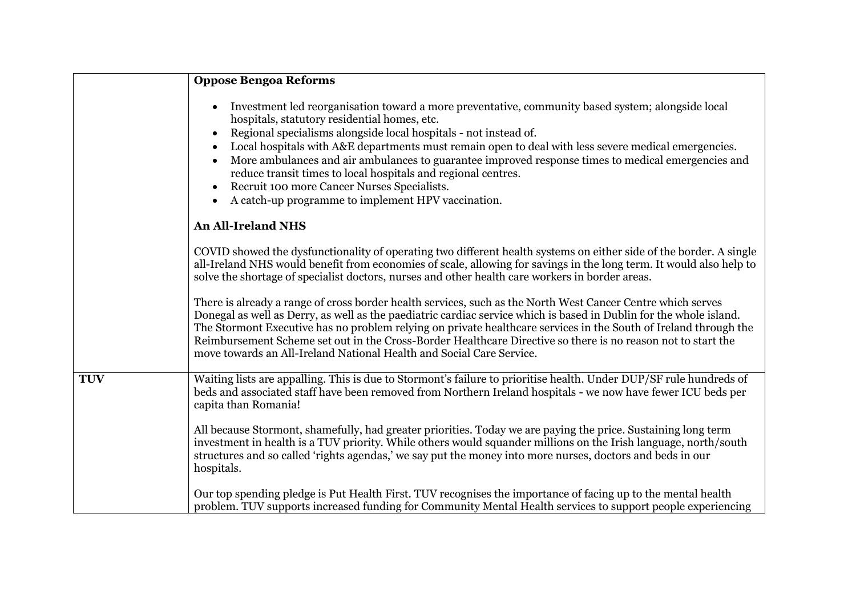|            | <b>Oppose Bengoa Reforms</b>                                                                                                                                                                                                                                                                                                                                                                                                                                                                                                                                                                                          |
|------------|-----------------------------------------------------------------------------------------------------------------------------------------------------------------------------------------------------------------------------------------------------------------------------------------------------------------------------------------------------------------------------------------------------------------------------------------------------------------------------------------------------------------------------------------------------------------------------------------------------------------------|
|            | Investment led reorganisation toward a more preventative, community based system; alongside local<br>hospitals, statutory residential homes, etc.<br>Regional specialisms alongside local hospitals - not instead of.<br>Local hospitals with A&E departments must remain open to deal with less severe medical emergencies.<br>More ambulances and air ambulances to guarantee improved response times to medical emergencies and<br>reduce transit times to local hospitals and regional centres.<br>Recruit 100 more Cancer Nurses Specialists.<br>A catch-up programme to implement HPV vaccination.<br>$\bullet$ |
|            | <b>An All-Ireland NHS</b>                                                                                                                                                                                                                                                                                                                                                                                                                                                                                                                                                                                             |
|            | COVID showed the dysfunctionality of operating two different health systems on either side of the border. A single<br>all-Ireland NHS would benefit from economies of scale, allowing for savings in the long term. It would also help to<br>solve the shortage of specialist doctors, nurses and other health care workers in border areas.                                                                                                                                                                                                                                                                          |
|            | There is already a range of cross border health services, such as the North West Cancer Centre which serves<br>Donegal as well as Derry, as well as the paediatric cardiac service which is based in Dublin for the whole island.<br>The Stormont Executive has no problem relying on private healthcare services in the South of Ireland through the<br>Reimbursement Scheme set out in the Cross-Border Healthcare Directive so there is no reason not to start the<br>move towards an All-Ireland National Health and Social Care Service.                                                                         |
| <b>TUV</b> | Waiting lists are appalling. This is due to Stormont's failure to prioritise health. Under DUP/SF rule hundreds of<br>beds and associated staff have been removed from Northern Ireland hospitals - we now have fewer ICU beds per<br>capita than Romania!                                                                                                                                                                                                                                                                                                                                                            |
|            | All because Stormont, shamefully, had greater priorities. Today we are paying the price. Sustaining long term<br>investment in health is a TUV priority. While others would squander millions on the Irish language, north/south<br>structures and so called 'rights agendas,' we say put the money into more nurses, doctors and beds in our<br>hospitals.                                                                                                                                                                                                                                                           |
|            | Our top spending pledge is Put Health First. TUV recognises the importance of facing up to the mental health<br>problem. TUV supports increased funding for Community Mental Health services to support people experiencing                                                                                                                                                                                                                                                                                                                                                                                           |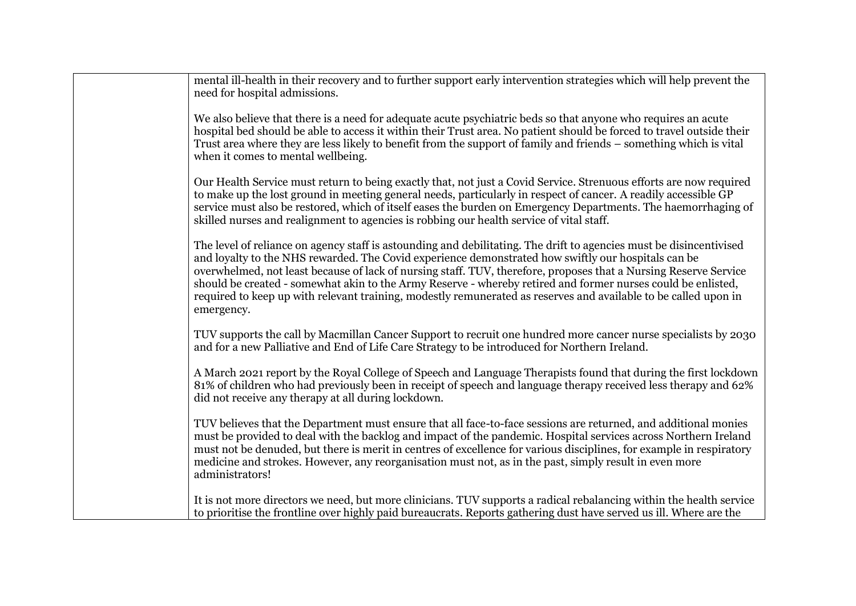| to make up the lost ground in meeting general needs, particularly in respect of cancer. A readily accessible GP<br>service must also be restored, which of itself eases the burden on Emergency Departments. The haemorrhaging of<br>skilled nurses and realignment to agencies is robbing our health service of vital staff.<br>The level of reliance on agency staff is astounding and debilitating. The drift to agencies must be disincentivised                                    |
|-----------------------------------------------------------------------------------------------------------------------------------------------------------------------------------------------------------------------------------------------------------------------------------------------------------------------------------------------------------------------------------------------------------------------------------------------------------------------------------------|
| and loyalty to the NHS rewarded. The Covid experience demonstrated how swiftly our hospitals can be<br>overwhelmed, not least because of lack of nursing staff. TUV, therefore, proposes that a Nursing Reserve Service<br>should be created - somewhat akin to the Army Reserve - whereby retired and former nurses could be enlisted,<br>required to keep up with relevant training, modestly remunerated as reserves and available to be called upon in<br>emergency.                |
| TUV supports the call by Macmillan Cancer Support to recruit one hundred more cancer nurse specialists by 2030<br>and for a new Palliative and End of Life Care Strategy to be introduced for Northern Ireland.                                                                                                                                                                                                                                                                         |
| A March 2021 report by the Royal College of Speech and Language Therapists found that during the first lockdown<br>81% of children who had previously been in receipt of speech and language therapy received less therapy and 62%<br>did not receive any therapy at all during lockdown.                                                                                                                                                                                               |
| TUV believes that the Department must ensure that all face-to-face sessions are returned, and additional monies<br>must be provided to deal with the backlog and impact of the pandemic. Hospital services across Northern Ireland<br>must not be denuded, but there is merit in centres of excellence for various disciplines, for example in respiratory<br>medicine and strokes. However, any reorganisation must not, as in the past, simply result in even more<br>administrators! |
| It is not more directors we need, but more clinicians. TUV supports a radical rebalancing within the health service<br>to prioritise the frontline over highly paid bureaucrats. Reports gathering dust have served us ill. Where are the                                                                                                                                                                                                                                               |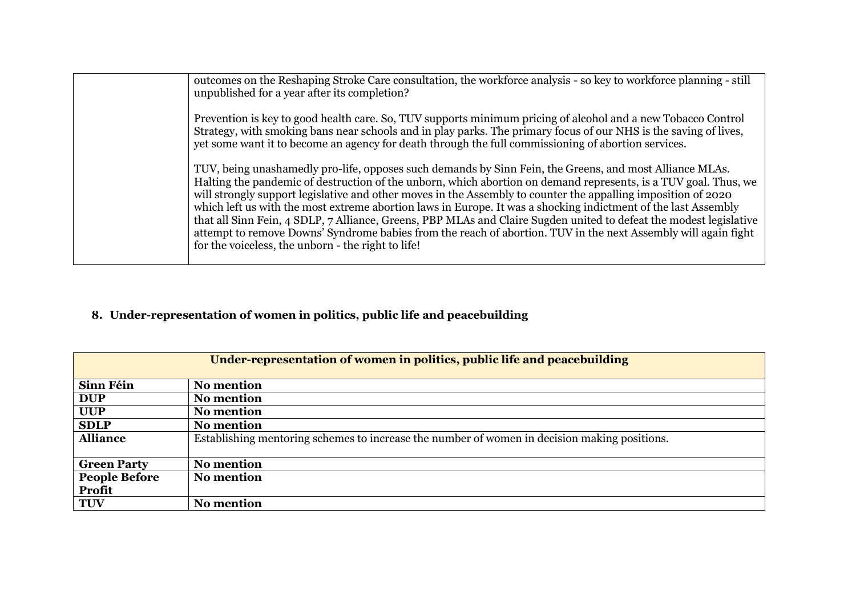| outcomes on the Reshaping Stroke Care consultation, the workforce analysis - so key to workforce planning - still<br>unpublished for a year after its completion?                                                                                                                                                                                                                                                                                                                                                                                                                                                                                                                                                                                           |
|-------------------------------------------------------------------------------------------------------------------------------------------------------------------------------------------------------------------------------------------------------------------------------------------------------------------------------------------------------------------------------------------------------------------------------------------------------------------------------------------------------------------------------------------------------------------------------------------------------------------------------------------------------------------------------------------------------------------------------------------------------------|
| Prevention is key to good health care. So, TUV supports minimum pricing of alcohol and a new Tobacco Control<br>Strategy, with smoking bans near schools and in play parks. The primary focus of our NHS is the saving of lives,<br>yet some want it to become an agency for death through the full commissioning of abortion services.                                                                                                                                                                                                                                                                                                                                                                                                                     |
| TUV, being unashamedly pro-life, opposes such demands by Sinn Fein, the Greens, and most Alliance MLAs.<br>Halting the pandemic of destruction of the unborn, which abortion on demand represents, is a TUV goal. Thus, we<br>will strongly support legislative and other moves in the Assembly to counter the appalling imposition of 2020<br>which left us with the most extreme abortion laws in Europe. It was a shocking indictment of the last Assembly<br>that all Sinn Fein, 4 SDLP, 7 Alliance, Greens, PBP MLAs and Claire Sugden united to defeat the modest legislative<br>attempt to remove Downs' Syndrome babies from the reach of abortion. TUV in the next Assembly will again fight<br>for the voiceless, the unborn - the right to life! |

# **8. Under-representation of women in politics, public life and peacebuilding**

| Under-representation of women in politics, public life and peacebuilding |                                                                                              |  |
|--------------------------------------------------------------------------|----------------------------------------------------------------------------------------------|--|
|                                                                          |                                                                                              |  |
|                                                                          |                                                                                              |  |
| Sinn Féin                                                                | <b>No mention</b>                                                                            |  |
| <b>DUP</b>                                                               | <b>No mention</b>                                                                            |  |
| <b>UUP</b>                                                               | <b>No mention</b>                                                                            |  |
| <b>SDLP</b>                                                              | <b>No mention</b>                                                                            |  |
| <b>Alliance</b>                                                          | Establishing mentoring schemes to increase the number of women in decision making positions. |  |
|                                                                          |                                                                                              |  |
| <b>Green Party</b>                                                       | <b>No mention</b>                                                                            |  |
| <b>People Before</b>                                                     | <b>No mention</b>                                                                            |  |
| <b>Profit</b>                                                            |                                                                                              |  |
| <b>TUV</b>                                                               | <b>No mention</b>                                                                            |  |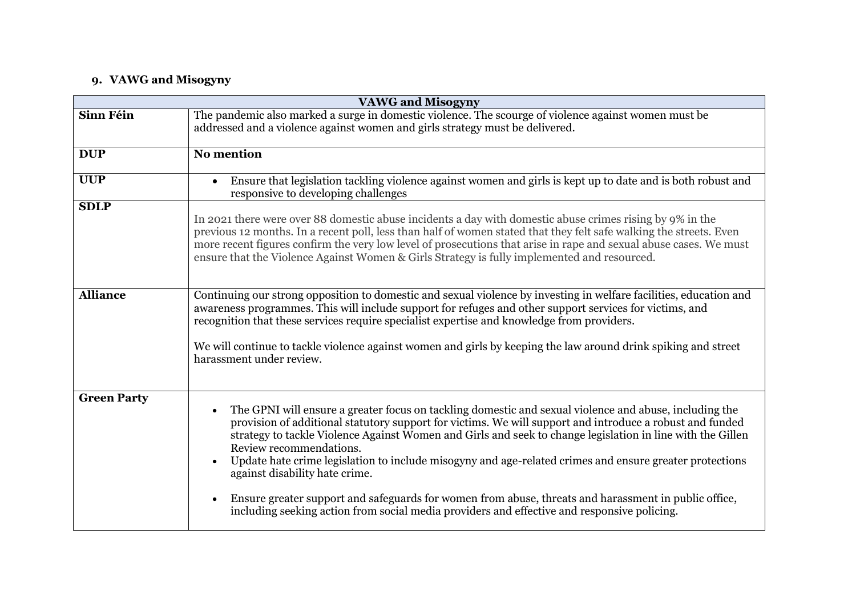### **9. VAWG and Misogyny**

| <b>VAWG and Misogyny</b> |                                                                                                                                                                                                                                                                                                                                                                                                                                                                                                                                                                                                                                                                                                                              |
|--------------------------|------------------------------------------------------------------------------------------------------------------------------------------------------------------------------------------------------------------------------------------------------------------------------------------------------------------------------------------------------------------------------------------------------------------------------------------------------------------------------------------------------------------------------------------------------------------------------------------------------------------------------------------------------------------------------------------------------------------------------|
| Sinn Féin                | The pandemic also marked a surge in domestic violence. The scourge of violence against women must be<br>addressed and a violence against women and girls strategy must be delivered.                                                                                                                                                                                                                                                                                                                                                                                                                                                                                                                                         |
| <b>DUP</b>               | <b>No mention</b>                                                                                                                                                                                                                                                                                                                                                                                                                                                                                                                                                                                                                                                                                                            |
| <b>UUP</b>               | Ensure that legislation tackling violence against women and girls is kept up to date and is both robust and<br>responsive to developing challenges                                                                                                                                                                                                                                                                                                                                                                                                                                                                                                                                                                           |
| <b>SDLP</b>              | In 2021 there were over 88 domestic abuse incidents a day with domestic abuse crimes rising by 9% in the<br>previous 12 months. In a recent poll, less than half of women stated that they felt safe walking the streets. Even<br>more recent figures confirm the very low level of prosecutions that arise in rape and sexual abuse cases. We must<br>ensure that the Violence Against Women & Girls Strategy is fully implemented and resourced.                                                                                                                                                                                                                                                                           |
| <b>Alliance</b>          | Continuing our strong opposition to domestic and sexual violence by investing in welfare facilities, education and<br>awareness programmes. This will include support for refuges and other support services for victims, and<br>recognition that these services require specialist expertise and knowledge from providers.<br>We will continue to tackle violence against women and girls by keeping the law around drink spiking and street<br>harassment under review.                                                                                                                                                                                                                                                    |
| <b>Green Party</b>       | The GPNI will ensure a greater focus on tackling domestic and sexual violence and abuse, including the<br>$\bullet$<br>provision of additional statutory support for victims. We will support and introduce a robust and funded<br>strategy to tackle Violence Against Women and Girls and seek to change legislation in line with the Gillen<br>Review recommendations.<br>Update hate crime legislation to include misogyny and age-related crimes and ensure greater protections<br>against disability hate crime.<br>Ensure greater support and safeguards for women from abuse, threats and harassment in public office,<br>including seeking action from social media providers and effective and responsive policing. |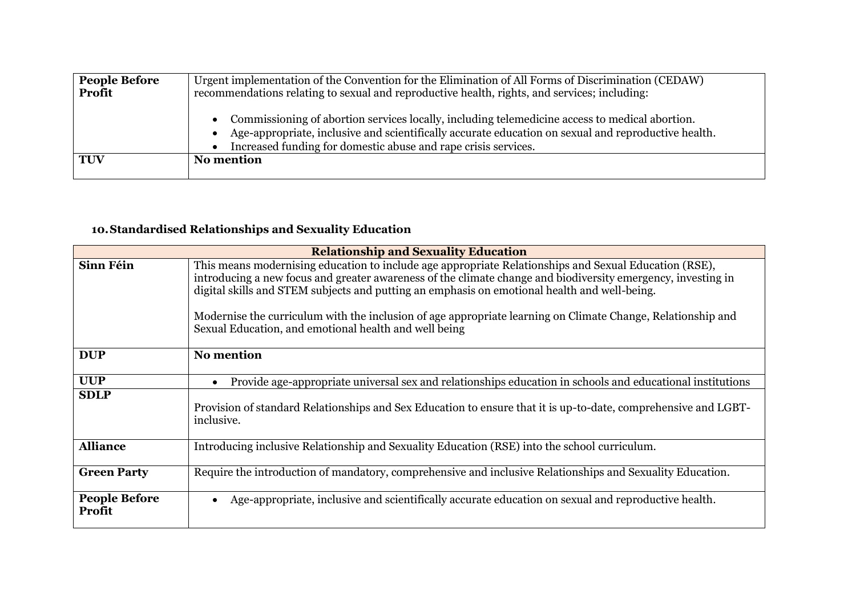| <b>People Before</b> | Urgent implementation of the Convention for the Elimination of All Forms of Discrimination (CEDAW)                                                                                                                                                                      |
|----------------------|-------------------------------------------------------------------------------------------------------------------------------------------------------------------------------------------------------------------------------------------------------------------------|
| <b>Profit</b>        | recommendations relating to sexual and reproductive health, rights, and services; including:                                                                                                                                                                            |
|                      | Commissioning of abortion services locally, including telemedicine access to medical abortion.<br>Age-appropriate, inclusive and scientifically accurate education on sexual and reproductive health.<br>Increased funding for domestic abuse and rape crisis services. |
| TUV                  | No mention                                                                                                                                                                                                                                                              |
|                      |                                                                                                                                                                                                                                                                         |

### **10.Standardised Relationships and Sexuality Education**

| <b>Relationship and Sexuality Education</b> |                                                                                                                                                                                                                                                                                                                                                                                                                                                                                               |
|---------------------------------------------|-----------------------------------------------------------------------------------------------------------------------------------------------------------------------------------------------------------------------------------------------------------------------------------------------------------------------------------------------------------------------------------------------------------------------------------------------------------------------------------------------|
| <b>Sinn Féin</b>                            | This means modernising education to include age appropriate Relationships and Sexual Education (RSE),<br>introducing a new focus and greater awareness of the climate change and biodiversity emergency, investing in<br>digital skills and STEM subjects and putting an emphasis on emotional health and well-being.<br>Modernise the curriculum with the inclusion of age appropriate learning on Climate Change, Relationship and<br>Sexual Education, and emotional health and well being |
| <b>DUP</b>                                  | <b>No mention</b>                                                                                                                                                                                                                                                                                                                                                                                                                                                                             |
| <b>UUP</b>                                  | Provide age-appropriate universal sex and relationships education in schools and educational institutions<br>$\bullet$                                                                                                                                                                                                                                                                                                                                                                        |
| <b>SDLP</b>                                 | Provision of standard Relationships and Sex Education to ensure that it is up-to-date, comprehensive and LGBT-<br>inclusive.                                                                                                                                                                                                                                                                                                                                                                  |
| <b>Alliance</b>                             | Introducing inclusive Relationship and Sexuality Education (RSE) into the school curriculum.                                                                                                                                                                                                                                                                                                                                                                                                  |
| <b>Green Party</b>                          | Require the introduction of mandatory, comprehensive and inclusive Relationships and Sexuality Education.                                                                                                                                                                                                                                                                                                                                                                                     |
| <b>People Before</b><br>Profit              | Age-appropriate, inclusive and scientifically accurate education on sexual and reproductive health.<br>$\bullet$                                                                                                                                                                                                                                                                                                                                                                              |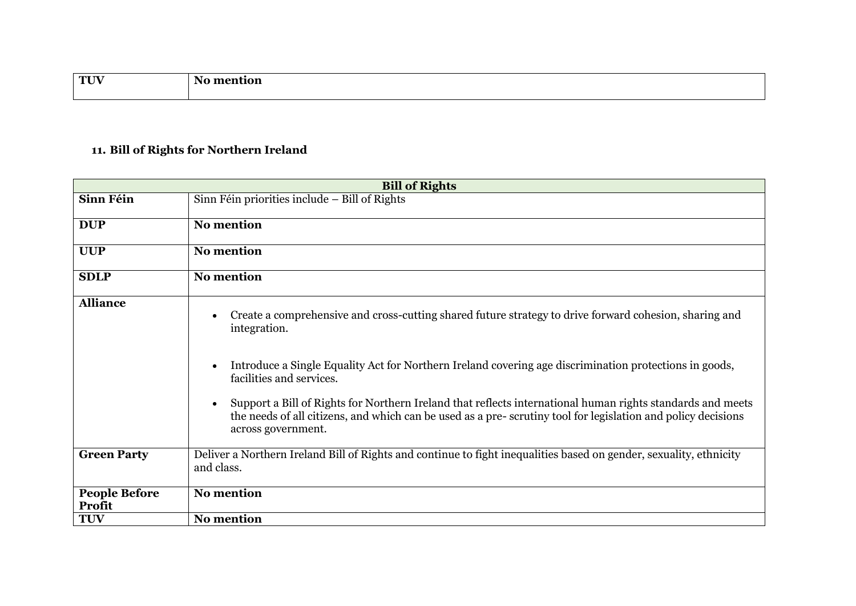| $\mathbf{T}$         | w |
|----------------------|---|
| $\sim$ $\sim$ $\sim$ |   |
|                      |   |

# **11. Bill of Rights for Northern Ireland**

| <b>Bill of Rights</b>          |                                                                                                                                                                                                                                                                                                                                                                                                                                                                                                                                            |  |
|--------------------------------|--------------------------------------------------------------------------------------------------------------------------------------------------------------------------------------------------------------------------------------------------------------------------------------------------------------------------------------------------------------------------------------------------------------------------------------------------------------------------------------------------------------------------------------------|--|
| Sinn Féin                      | $S$ inn Féin priorities include – Bill of Rights                                                                                                                                                                                                                                                                                                                                                                                                                                                                                           |  |
| <b>DUP</b>                     | No mention                                                                                                                                                                                                                                                                                                                                                                                                                                                                                                                                 |  |
| <b>UUP</b>                     | <b>No mention</b>                                                                                                                                                                                                                                                                                                                                                                                                                                                                                                                          |  |
| <b>SDLP</b>                    | <b>No mention</b>                                                                                                                                                                                                                                                                                                                                                                                                                                                                                                                          |  |
| <b>Alliance</b>                | Create a comprehensive and cross-cutting shared future strategy to drive forward cohesion, sharing and<br>integration.<br>Introduce a Single Equality Act for Northern Ireland covering age discrimination protections in goods,<br>$\bullet$<br>facilities and services.<br>Support a Bill of Rights for Northern Ireland that reflects international human rights standards and meets<br>$\bullet$<br>the needs of all citizens, and which can be used as a pre-scrutiny tool for legislation and policy decisions<br>across government. |  |
| <b>Green Party</b>             | Deliver a Northern Ireland Bill of Rights and continue to fight inequalities based on gender, sexuality, ethnicity<br>and class.                                                                                                                                                                                                                                                                                                                                                                                                           |  |
| <b>People Before</b><br>Profit | <b>No mention</b>                                                                                                                                                                                                                                                                                                                                                                                                                                                                                                                          |  |
| <b>TUV</b>                     | <b>No mention</b>                                                                                                                                                                                                                                                                                                                                                                                                                                                                                                                          |  |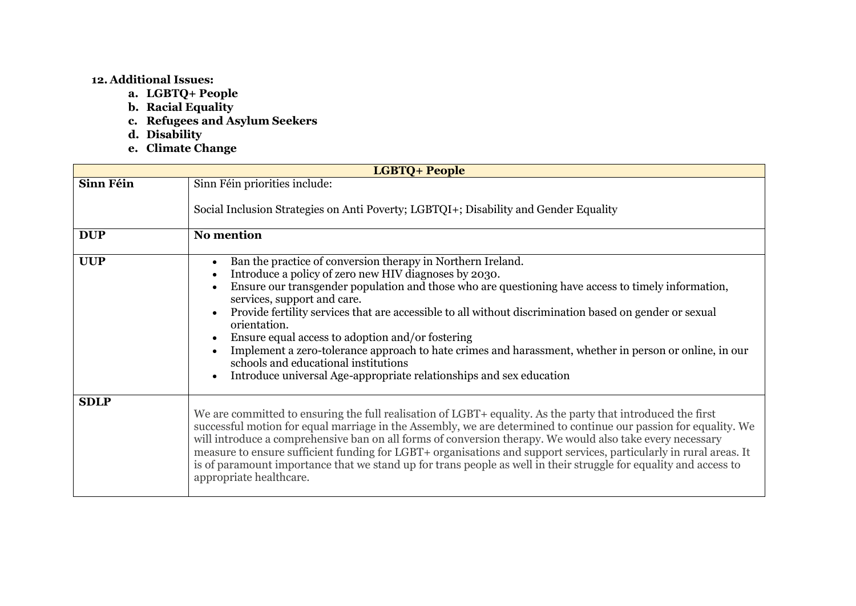#### **12. Additional Issues:**

- **a. LGBTQ+ People**
- **b. Racial Equality**
- **c. Refugees and Asylum Seekers**
- **d. Disability**
- **e. Climate Change**

| <b>LGBTQ+ People</b> |                                                                                                                                                                                                                                                                                                                                                                                                                                                                                                                                                                                                                                                                                            |  |
|----------------------|--------------------------------------------------------------------------------------------------------------------------------------------------------------------------------------------------------------------------------------------------------------------------------------------------------------------------------------------------------------------------------------------------------------------------------------------------------------------------------------------------------------------------------------------------------------------------------------------------------------------------------------------------------------------------------------------|--|
| Sinn Féin            | Sinn Féin priorities include:<br>Social Inclusion Strategies on Anti Poverty; LGBTQI+; Disability and Gender Equality                                                                                                                                                                                                                                                                                                                                                                                                                                                                                                                                                                      |  |
| <b>DUP</b>           | <b>No mention</b>                                                                                                                                                                                                                                                                                                                                                                                                                                                                                                                                                                                                                                                                          |  |
| <b>UUP</b>           | Ban the practice of conversion therapy in Northern Ireland.<br>$\bullet$<br>Introduce a policy of zero new HIV diagnoses by 2030.<br>Ensure our transgender population and those who are questioning have access to timely information,<br>services, support and care.<br>Provide fertility services that are accessible to all without discrimination based on gender or sexual<br>orientation.<br>Ensure equal access to adoption and/or fostering<br>Implement a zero-tolerance approach to hate crimes and harassment, whether in person or online, in our<br>$\bullet$<br>schools and educational institutions<br>Introduce universal Age-appropriate relationships and sex education |  |
| <b>SDLP</b>          | We are committed to ensuring the full realisation of LGBT+ equality. As the party that introduced the first<br>successful motion for equal marriage in the Assembly, we are determined to continue our passion for equality. We<br>will introduce a comprehensive ban on all forms of conversion therapy. We would also take every necessary<br>measure to ensure sufficient funding for LGBT+ organisations and support services, particularly in rural areas. It<br>is of paramount importance that we stand up for trans people as well in their struggle for equality and access to<br>appropriate healthcare.                                                                         |  |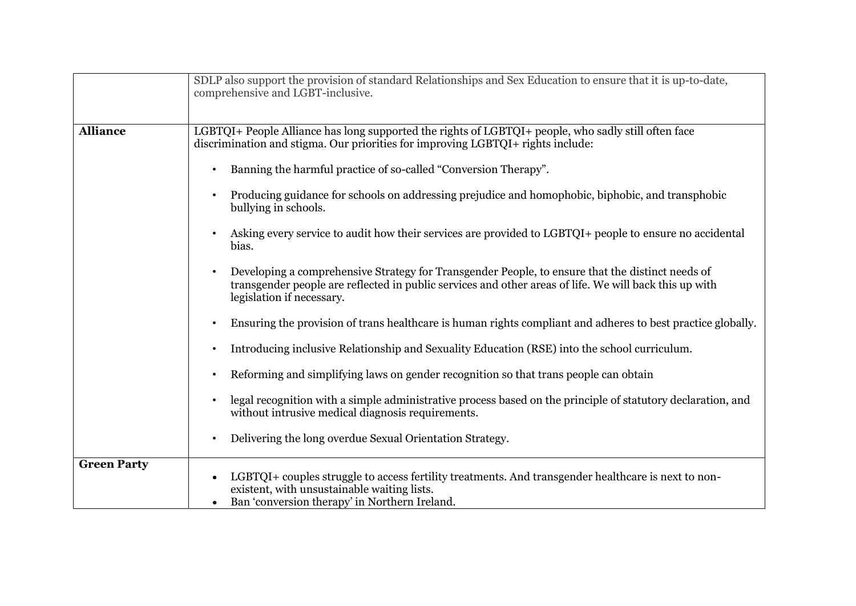|                    | SDLP also support the provision of standard Relationships and Sex Education to ensure that it is up-to-date,<br>comprehensive and LGBT-inclusive.                                                                                       |
|--------------------|-----------------------------------------------------------------------------------------------------------------------------------------------------------------------------------------------------------------------------------------|
| <b>Alliance</b>    | LGBTQI+ People Alliance has long supported the rights of LGBTQI+ people, who sadly still often face<br>discrimination and stigma. Our priorities for improving LGBTQI+ rights include:                                                  |
|                    | Banning the harmful practice of so-called "Conversion Therapy".                                                                                                                                                                         |
|                    | Producing guidance for schools on addressing prejudice and homophobic, biphobic, and transphobic<br>bullying in schools.                                                                                                                |
|                    | Asking every service to audit how their services are provided to LGBTQI+ people to ensure no accidental<br>bias.                                                                                                                        |
|                    | Developing a comprehensive Strategy for Transgender People, to ensure that the distinct needs of<br>transgender people are reflected in public services and other areas of life. We will back this up with<br>legislation if necessary. |
|                    | Ensuring the provision of trans healthcare is human rights compliant and adheres to best practice globally.                                                                                                                             |
|                    | Introducing inclusive Relationship and Sexuality Education (RSE) into the school curriculum.<br>$\bullet$                                                                                                                               |
|                    | Reforming and simplifying laws on gender recognition so that trans people can obtain<br>$\bullet$                                                                                                                                       |
|                    | legal recognition with a simple administrative process based on the principle of statutory declaration, and<br>without intrusive medical diagnosis requirements.                                                                        |
|                    | Delivering the long overdue Sexual Orientation Strategy.<br>$\bullet$                                                                                                                                                                   |
| <b>Green Party</b> | LGBTQI+ couples struggle to access fertility treatments. And transgender healthcare is next to non-<br>existent, with unsustainable waiting lists.<br>Ban 'conversion therapy' in Northern Ireland.                                     |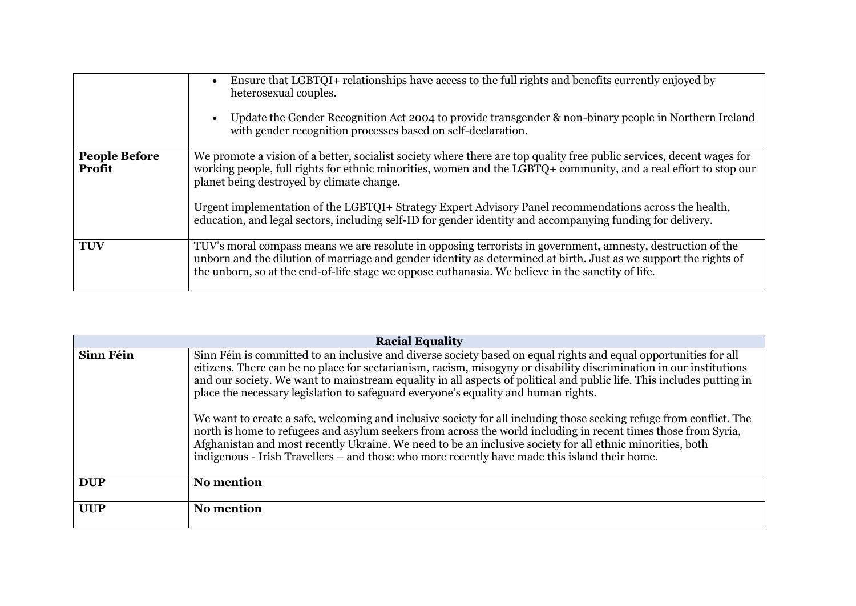|                                | Ensure that LGBTQI+ relationships have access to the full rights and benefits currently enjoyed by<br>$\bullet$<br>heterosexual couples.<br>Update the Gender Recognition Act 2004 to provide transgender & non-binary people in Northern Ireland<br>with gender recognition processes based on self-declaration.                                                                                                                                                                                              |
|--------------------------------|----------------------------------------------------------------------------------------------------------------------------------------------------------------------------------------------------------------------------------------------------------------------------------------------------------------------------------------------------------------------------------------------------------------------------------------------------------------------------------------------------------------|
| <b>People Before</b><br>Profit | We promote a vision of a better, socialist society where there are top quality free public services, decent wages for<br>working people, full rights for ethnic minorities, women and the LGBTQ+ community, and a real effort to stop our<br>planet being destroyed by climate change.<br>Urgent implementation of the LGBTQI+ Strategy Expert Advisory Panel recommendations across the health,<br>education, and legal sectors, including self-ID for gender identity and accompanying funding for delivery. |
| <b>TUV</b>                     | TUV's moral compass means we are resolute in opposing terrorists in government, amnesty, destruction of the<br>unborn and the dilution of marriage and gender identity as determined at birth. Just as we support the rights of<br>the unborn, so at the end-of-life stage we oppose euthanasia. We believe in the sanctity of life.                                                                                                                                                                           |

| <b>Racial Equality</b> |                                                                                                                                                                                                                                                                                                                                                                                                                                                                                                                                                                                                                                                                                                                                                                                                                                                                                                               |  |
|------------------------|---------------------------------------------------------------------------------------------------------------------------------------------------------------------------------------------------------------------------------------------------------------------------------------------------------------------------------------------------------------------------------------------------------------------------------------------------------------------------------------------------------------------------------------------------------------------------------------------------------------------------------------------------------------------------------------------------------------------------------------------------------------------------------------------------------------------------------------------------------------------------------------------------------------|--|
| Sinn Féin              | Sinn Féin is committed to an inclusive and diverse society based on equal rights and equal opportunities for all<br>citizens. There can be no place for sectarianism, racism, misogyny or disability discrimination in our institutions<br>and our society. We want to mainstream equality in all aspects of political and public life. This includes putting in<br>place the necessary legislation to safeguard everyone's equality and human rights.<br>We want to create a safe, welcoming and inclusive society for all including those seeking refuge from conflict. The<br>north is home to refugees and asylum seekers from across the world including in recent times those from Syria,<br>Afghanistan and most recently Ukraine. We need to be an inclusive society for all ethnic minorities, both<br>indigenous - Irish Travellers – and those who more recently have made this island their home. |  |
| <b>DUP</b>             | <b>No mention</b>                                                                                                                                                                                                                                                                                                                                                                                                                                                                                                                                                                                                                                                                                                                                                                                                                                                                                             |  |
| <b>UUP</b>             | <b>No mention</b>                                                                                                                                                                                                                                                                                                                                                                                                                                                                                                                                                                                                                                                                                                                                                                                                                                                                                             |  |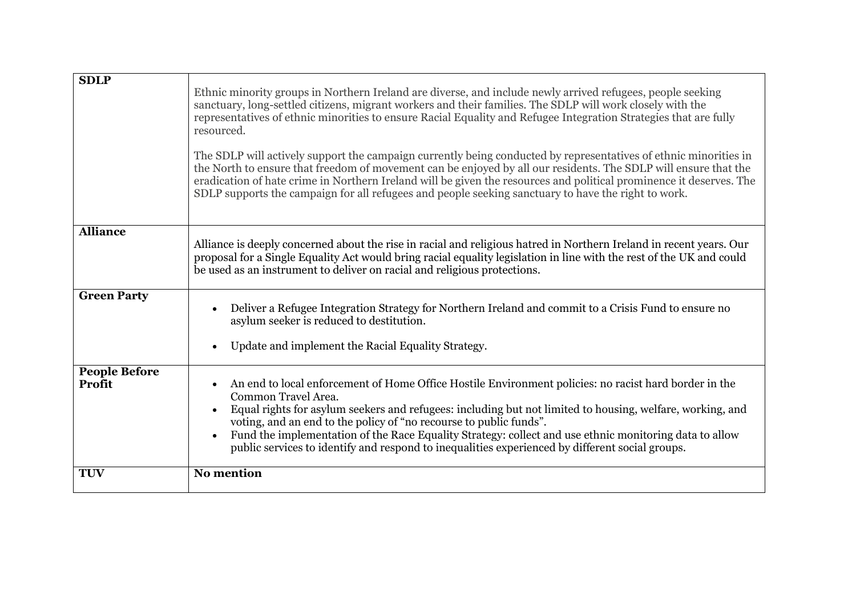| <b>SDLP</b>                    | Ethnic minority groups in Northern Ireland are diverse, and include newly arrived refugees, people seeking<br>sanctuary, long-settled citizens, migrant workers and their families. The SDLP will work closely with the<br>representatives of ethnic minorities to ensure Racial Equality and Refugee Integration Strategies that are fully<br>resourced.<br>The SDLP will actively support the campaign currently being conducted by representatives of ethnic minorities in<br>the North to ensure that freedom of movement can be enjoyed by all our residents. The SDLP will ensure that the<br>eradication of hate crime in Northern Ireland will be given the resources and political prominence it deserves. The<br>SDLP supports the campaign for all refugees and people seeking sanctuary to have the right to work. |
|--------------------------------|--------------------------------------------------------------------------------------------------------------------------------------------------------------------------------------------------------------------------------------------------------------------------------------------------------------------------------------------------------------------------------------------------------------------------------------------------------------------------------------------------------------------------------------------------------------------------------------------------------------------------------------------------------------------------------------------------------------------------------------------------------------------------------------------------------------------------------|
| <b>Alliance</b>                | Alliance is deeply concerned about the rise in racial and religious hatred in Northern Ireland in recent years. Our<br>proposal for a Single Equality Act would bring racial equality legislation in line with the rest of the UK and could<br>be used as an instrument to deliver on racial and religious protections.                                                                                                                                                                                                                                                                                                                                                                                                                                                                                                        |
| <b>Green Party</b>             | Deliver a Refugee Integration Strategy for Northern Ireland and commit to a Crisis Fund to ensure no<br>asylum seeker is reduced to destitution.<br>Update and implement the Racial Equality Strategy.                                                                                                                                                                                                                                                                                                                                                                                                                                                                                                                                                                                                                         |
| <b>People Before</b><br>Profit | An end to local enforcement of Home Office Hostile Environment policies: no racist hard border in the<br>Common Travel Area.<br>Equal rights for asylum seekers and refugees: including but not limited to housing, welfare, working, and<br>voting, and an end to the policy of "no recourse to public funds".<br>Fund the implementation of the Race Equality Strategy: collect and use ethnic monitoring data to allow<br>public services to identify and respond to inequalities experienced by different social groups.                                                                                                                                                                                                                                                                                                   |
| <b>TUV</b>                     | <b>No mention</b>                                                                                                                                                                                                                                                                                                                                                                                                                                                                                                                                                                                                                                                                                                                                                                                                              |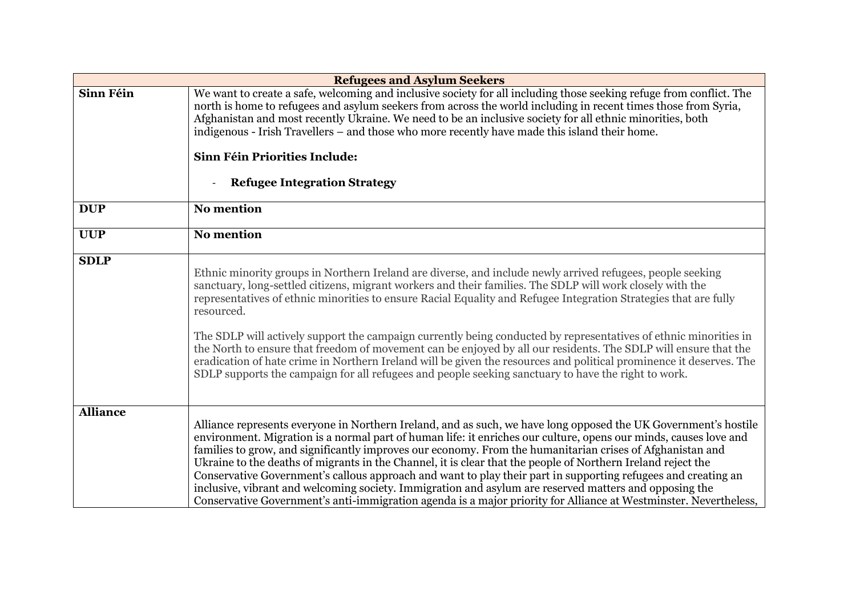| <b>Refugees and Asylum Seekers</b> |                                                                                                                                                                                                                                                                                                                                                                                                                                                                                                                                                                                                                                                                                                                                                                                                                                |  |
|------------------------------------|--------------------------------------------------------------------------------------------------------------------------------------------------------------------------------------------------------------------------------------------------------------------------------------------------------------------------------------------------------------------------------------------------------------------------------------------------------------------------------------------------------------------------------------------------------------------------------------------------------------------------------------------------------------------------------------------------------------------------------------------------------------------------------------------------------------------------------|--|
| Sinn Féin                          | We want to create a safe, welcoming and inclusive society for all including those seeking refuge from conflict. The<br>north is home to refugees and asylum seekers from across the world including in recent times those from Syria,<br>Afghanistan and most recently Ukraine. We need to be an inclusive society for all ethnic minorities, both<br>indigenous - Irish Travellers – and those who more recently have made this island their home.                                                                                                                                                                                                                                                                                                                                                                            |  |
|                                    | Sinn Féin Priorities Include:<br><b>Refugee Integration Strategy</b>                                                                                                                                                                                                                                                                                                                                                                                                                                                                                                                                                                                                                                                                                                                                                           |  |
| <b>DUP</b>                         | <b>No mention</b>                                                                                                                                                                                                                                                                                                                                                                                                                                                                                                                                                                                                                                                                                                                                                                                                              |  |
| <b>UUP</b>                         | <b>No mention</b>                                                                                                                                                                                                                                                                                                                                                                                                                                                                                                                                                                                                                                                                                                                                                                                                              |  |
| <b>SDLP</b>                        | Ethnic minority groups in Northern Ireland are diverse, and include newly arrived refugees, people seeking<br>sanctuary, long-settled citizens, migrant workers and their families. The SDLP will work closely with the<br>representatives of ethnic minorities to ensure Racial Equality and Refugee Integration Strategies that are fully<br>resourced.<br>The SDLP will actively support the campaign currently being conducted by representatives of ethnic minorities in<br>the North to ensure that freedom of movement can be enjoyed by all our residents. The SDLP will ensure that the<br>eradication of hate crime in Northern Ireland will be given the resources and political prominence it deserves. The<br>SDLP supports the campaign for all refugees and people seeking sanctuary to have the right to work. |  |
| <b>Alliance</b>                    | Alliance represents everyone in Northern Ireland, and as such, we have long opposed the UK Government's hostile<br>environment. Migration is a normal part of human life: it enriches our culture, opens our minds, causes love and<br>families to grow, and significantly improves our economy. From the humanitarian crises of Afghanistan and<br>Ukraine to the deaths of migrants in the Channel, it is clear that the people of Northern Ireland reject the<br>Conservative Government's callous approach and want to play their part in supporting refugees and creating an<br>inclusive, vibrant and welcoming society. Immigration and asylum are reserved matters and opposing the<br>Conservative Government's anti-immigration agenda is a major priority for Alliance at Westminster. Nevertheless,                |  |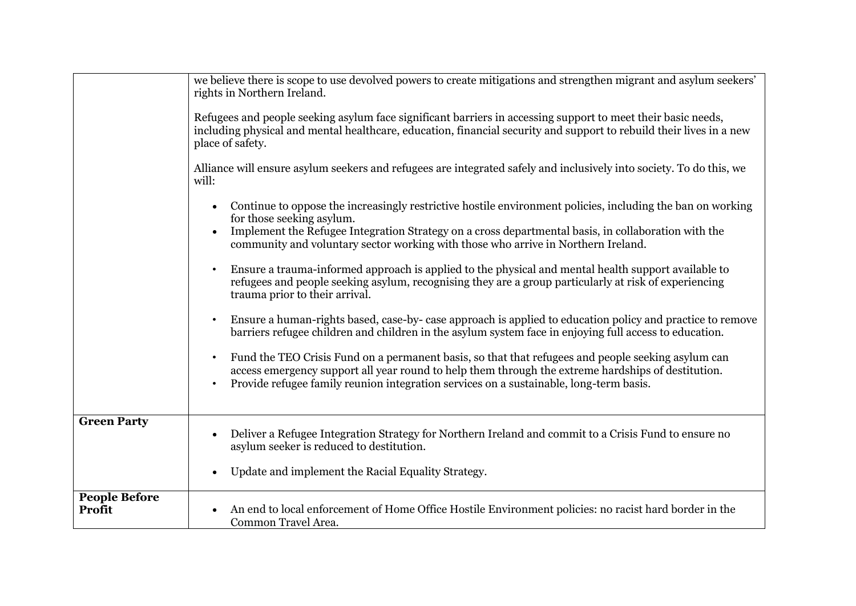|                                | we believe there is scope to use devolved powers to create mitigations and strengthen migrant and asylum seekers'                                                                                                                                                                                                            |
|--------------------------------|------------------------------------------------------------------------------------------------------------------------------------------------------------------------------------------------------------------------------------------------------------------------------------------------------------------------------|
|                                | rights in Northern Ireland.                                                                                                                                                                                                                                                                                                  |
|                                |                                                                                                                                                                                                                                                                                                                              |
|                                | Refugees and people seeking asylum face significant barriers in accessing support to meet their basic needs,<br>including physical and mental healthcare, education, financial security and support to rebuild their lives in a new<br>place of safety.                                                                      |
|                                | Alliance will ensure asylum seekers and refugees are integrated safely and inclusively into society. To do this, we<br>will:                                                                                                                                                                                                 |
|                                | Continue to oppose the increasingly restrictive hostile environment policies, including the ban on working<br>for those seeking asylum.                                                                                                                                                                                      |
|                                | Implement the Refugee Integration Strategy on a cross departmental basis, in collaboration with the<br>community and voluntary sector working with those who arrive in Northern Ireland.                                                                                                                                     |
|                                | Ensure a trauma-informed approach is applied to the physical and mental health support available to<br>refugees and people seeking asylum, recognising they are a group particularly at risk of experiencing<br>trauma prior to their arrival.                                                                               |
|                                | Ensure a human-rights based, case-by- case approach is applied to education policy and practice to remove<br>barriers refugee children and children in the asylum system face in enjoying full access to education.                                                                                                          |
|                                | Fund the TEO Crisis Fund on a permanent basis, so that that refugees and people seeking asylum can<br>$\bullet$<br>access emergency support all year round to help them through the extreme hardships of destitution.<br>Provide refugee family reunion integration services on a sustainable, long-term basis.<br>$\bullet$ |
|                                |                                                                                                                                                                                                                                                                                                                              |
| <b>Green Party</b>             | Deliver a Refugee Integration Strategy for Northern Ireland and commit to a Crisis Fund to ensure no<br>asylum seeker is reduced to destitution.                                                                                                                                                                             |
|                                | Update and implement the Racial Equality Strategy.                                                                                                                                                                                                                                                                           |
| <b>People Before</b><br>Profit | An end to local enforcement of Home Office Hostile Environment policies: no racist hard border in the<br>Common Travel Area.                                                                                                                                                                                                 |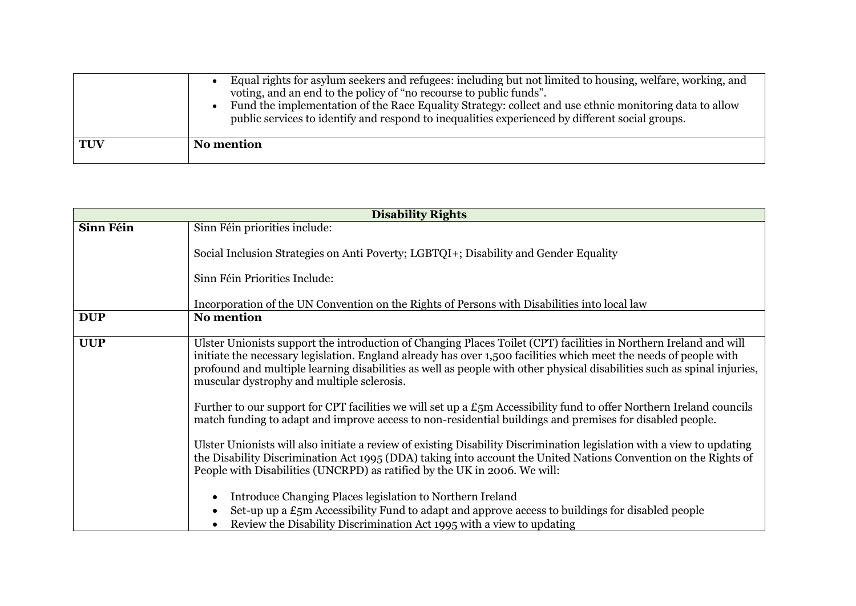|     | Equal rights for asylum seekers and refugees: including but not limited to housing, welfare, working, and<br>voting, and an end to the policy of "no recourse to public funds".<br>Fund the implementation of the Race Equality Strategy: collect and use ethnic monitoring data to allow<br>public services to identify and respond to inequalities experienced by different social groups. |
|-----|----------------------------------------------------------------------------------------------------------------------------------------------------------------------------------------------------------------------------------------------------------------------------------------------------------------------------------------------------------------------------------------------|
| TUV | No mention                                                                                                                                                                                                                                                                                                                                                                                   |

| <b>Disability Rights</b> |                                                                                                                                                                                                                                                                                                                                                                                                                 |  |
|--------------------------|-----------------------------------------------------------------------------------------------------------------------------------------------------------------------------------------------------------------------------------------------------------------------------------------------------------------------------------------------------------------------------------------------------------------|--|
| Sinn Féin                | Sinn Féin priorities include:                                                                                                                                                                                                                                                                                                                                                                                   |  |
|                          | Social Inclusion Strategies on Anti Poverty; LGBTQI+; Disability and Gender Equality                                                                                                                                                                                                                                                                                                                            |  |
|                          | Sinn Féin Priorities Include:                                                                                                                                                                                                                                                                                                                                                                                   |  |
|                          | Incorporation of the UN Convention on the Rights of Persons with Disabilities into local law                                                                                                                                                                                                                                                                                                                    |  |
| <b>DUP</b>               | <b>No mention</b>                                                                                                                                                                                                                                                                                                                                                                                               |  |
| <b>UUP</b>               | Ulster Unionists support the introduction of Changing Places Toilet (CPT) facilities in Northern Ireland and will<br>initiate the necessary legislation. England already has over 1,500 facilities which meet the needs of people with<br>profound and multiple learning disabilities as well as people with other physical disabilities such as spinal injuries,<br>muscular dystrophy and multiple sclerosis. |  |
|                          | Further to our support for CPT facilities we will set up a $E_5$ m Accessibility fund to offer Northern Ireland councils<br>match funding to adapt and improve access to non-residential buildings and premises for disabled people.                                                                                                                                                                            |  |
|                          | Ulster Unionists will also initiate a review of existing Disability Discrimination legislation with a view to updating<br>the Disability Discrimination Act 1995 (DDA) taking into account the United Nations Convention on the Rights of<br>People with Disabilities (UNCRPD) as ratified by the UK in 2006. We will:                                                                                          |  |
|                          | Introduce Changing Places legislation to Northern Ireland<br>$\bullet$<br>Set-up up a £5m Accessibility Fund to adapt and approve access to buildings for disabled people<br>Review the Disability Discrimination Act 1995 with a view to updating                                                                                                                                                              |  |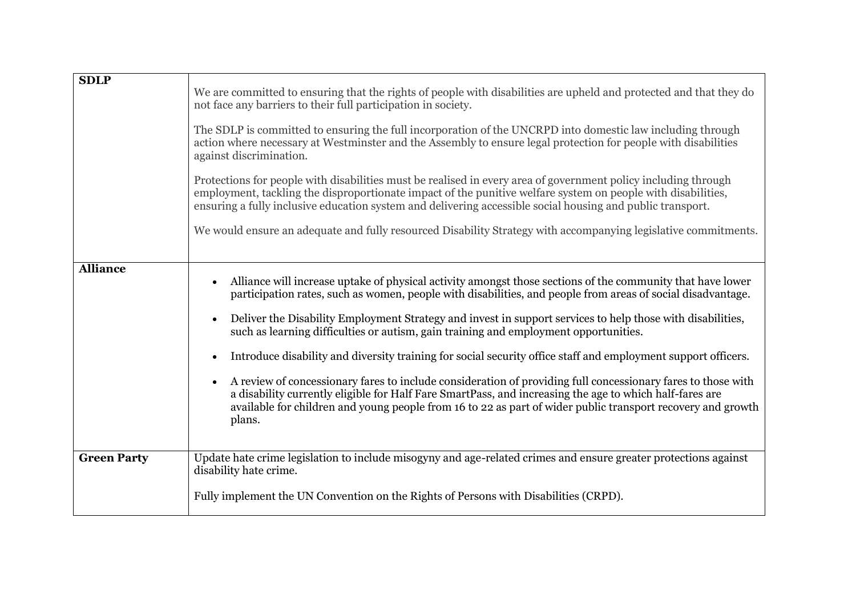| <b>SDLP</b>        |                                                                                                                                                                                                                                                                                                                                                               |
|--------------------|---------------------------------------------------------------------------------------------------------------------------------------------------------------------------------------------------------------------------------------------------------------------------------------------------------------------------------------------------------------|
|                    | We are committed to ensuring that the rights of people with disabilities are upheld and protected and that they do<br>not face any barriers to their full participation in society.                                                                                                                                                                           |
|                    | The SDLP is committed to ensuring the full incorporation of the UNCRPD into domestic law including through<br>action where necessary at Westminster and the Assembly to ensure legal protection for people with disabilities<br>against discrimination.                                                                                                       |
|                    | Protections for people with disabilities must be realised in every area of government policy including through<br>employment, tackling the disproportionate impact of the punitive welfare system on people with disabilities,<br>ensuring a fully inclusive education system and delivering accessible social housing and public transport.                  |
|                    | We would ensure an adequate and fully resourced Disability Strategy with accompanying legislative commitments.                                                                                                                                                                                                                                                |
| <b>Alliance</b>    |                                                                                                                                                                                                                                                                                                                                                               |
|                    | Alliance will increase uptake of physical activity amongst those sections of the community that have lower<br>participation rates, such as women, people with disabilities, and people from areas of social disadvantage.                                                                                                                                     |
|                    | Deliver the Disability Employment Strategy and invest in support services to help those with disabilities,<br>such as learning difficulties or autism, gain training and employment opportunities.                                                                                                                                                            |
|                    | Introduce disability and diversity training for social security office staff and employment support officers.                                                                                                                                                                                                                                                 |
|                    | A review of concessionary fares to include consideration of providing full concessionary fares to those with<br>$\bullet$<br>a disability currently eligible for Half Fare SmartPass, and increasing the age to which half-fares are<br>available for children and young people from 16 to 22 as part of wider public transport recovery and growth<br>plans. |
| <b>Green Party</b> | Update hate crime legislation to include misogyny and age-related crimes and ensure greater protections against                                                                                                                                                                                                                                               |
|                    | disability hate crime.                                                                                                                                                                                                                                                                                                                                        |
|                    | Fully implement the UN Convention on the Rights of Persons with Disabilities (CRPD).                                                                                                                                                                                                                                                                          |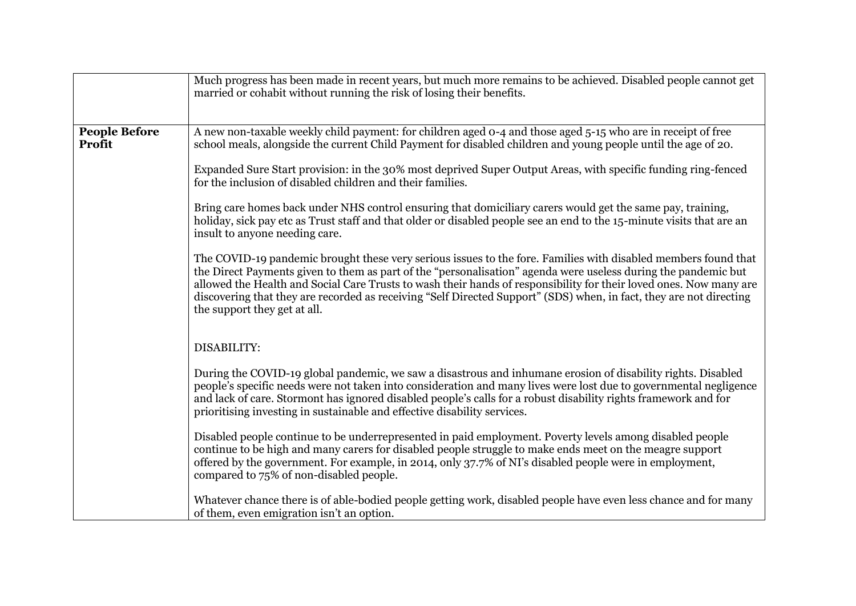|                                | Much progress has been made in recent years, but much more remains to be achieved. Disabled people cannot get<br>married or cohabit without running the risk of losing their benefits.                                                                                                                                                                                                                                                                                                                        |
|--------------------------------|---------------------------------------------------------------------------------------------------------------------------------------------------------------------------------------------------------------------------------------------------------------------------------------------------------------------------------------------------------------------------------------------------------------------------------------------------------------------------------------------------------------|
| <b>People Before</b><br>Profit | A new non-taxable weekly child payment: for children aged 0-4 and those aged 5-15 who are in receipt of free<br>school meals, alongside the current Child Payment for disabled children and young people until the age of 20.                                                                                                                                                                                                                                                                                 |
|                                | Expanded Sure Start provision: in the 30% most deprived Super Output Areas, with specific funding ring-fenced<br>for the inclusion of disabled children and their families.                                                                                                                                                                                                                                                                                                                                   |
|                                | Bring care homes back under NHS control ensuring that domiciliary carers would get the same pay, training,<br>holiday, sick pay etc as Trust staff and that older or disabled people see an end to the 15-minute visits that are an<br>insult to anyone needing care.                                                                                                                                                                                                                                         |
|                                | The COVID-19 pandemic brought these very serious issues to the fore. Families with disabled members found that<br>the Direct Payments given to them as part of the "personalisation" agenda were useless during the pandemic but<br>allowed the Health and Social Care Trusts to wash their hands of responsibility for their loved ones. Now many are<br>discovering that they are recorded as receiving "Self Directed Support" (SDS) when, in fact, they are not directing<br>the support they get at all. |
|                                | DISABILITY:                                                                                                                                                                                                                                                                                                                                                                                                                                                                                                   |
|                                | During the COVID-19 global pandemic, we saw a disastrous and inhumane erosion of disability rights. Disabled<br>people's specific needs were not taken into consideration and many lives were lost due to governmental negligence<br>and lack of care. Stormont has ignored disabled people's calls for a robust disability rights framework and for<br>prioritising investing in sustainable and effective disability services.                                                                              |
|                                | Disabled people continue to be underrepresented in paid employment. Poverty levels among disabled people<br>continue to be high and many carers for disabled people struggle to make ends meet on the meagre support<br>offered by the government. For example, in 2014, only 37.7% of NI's disabled people were in employment,<br>compared to 75% of non-disabled people.                                                                                                                                    |
|                                | Whatever chance there is of able-bodied people getting work, disabled people have even less chance and for many<br>of them, even emigration isn't an option.                                                                                                                                                                                                                                                                                                                                                  |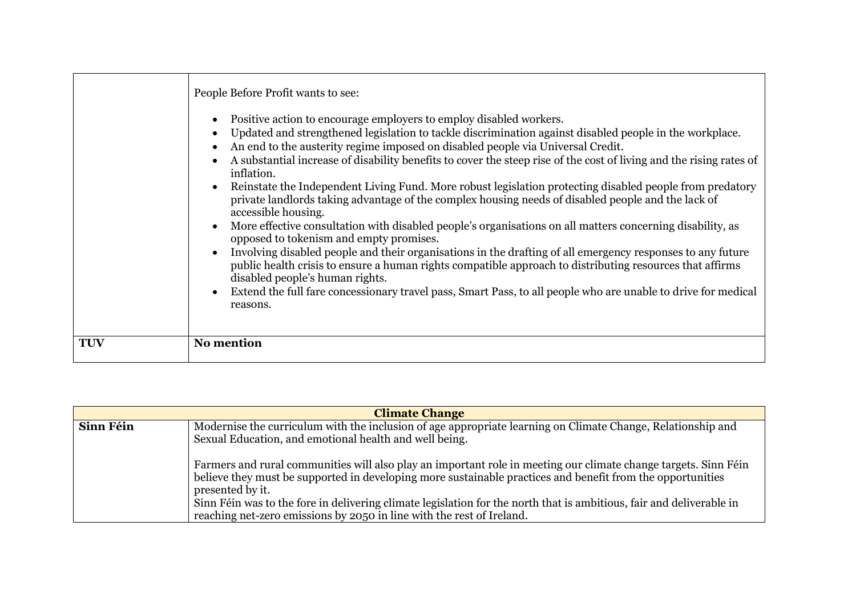|            | People Before Profit wants to see:<br>Positive action to encourage employers to employ disabled workers.<br>Updated and strengthened legislation to tackle discrimination against disabled people in the workplace.<br>An end to the austerity regime imposed on disabled people via Universal Credit.<br>A substantial increase of disability benefits to cover the steep rise of the cost of living and the rising rates of<br>inflation.<br>Reinstate the Independent Living Fund. More robust legislation protecting disabled people from predatory<br>private landlords taking advantage of the complex housing needs of disabled people and the lack of<br>accessible housing.<br>More effective consultation with disabled people's organisations on all matters concerning disability, as<br>opposed to tokenism and empty promises. |
|------------|----------------------------------------------------------------------------------------------------------------------------------------------------------------------------------------------------------------------------------------------------------------------------------------------------------------------------------------------------------------------------------------------------------------------------------------------------------------------------------------------------------------------------------------------------------------------------------------------------------------------------------------------------------------------------------------------------------------------------------------------------------------------------------------------------------------------------------------------|
|            | Involving disabled people and their organisations in the drafting of all emergency responses to any future<br>public health crisis to ensure a human rights compatible approach to distributing resources that affirms<br>disabled people's human rights.<br>Extend the full fare concessionary travel pass, Smart Pass, to all people who are unable to drive for medical<br>reasons.                                                                                                                                                                                                                                                                                                                                                                                                                                                       |
| <b>TUV</b> | No mention                                                                                                                                                                                                                                                                                                                                                                                                                                                                                                                                                                                                                                                                                                                                                                                                                                   |

| <b>Climate Change</b> |                                                                                                                                                                                                                                                                                                                                                                                                                                                    |
|-----------------------|----------------------------------------------------------------------------------------------------------------------------------------------------------------------------------------------------------------------------------------------------------------------------------------------------------------------------------------------------------------------------------------------------------------------------------------------------|
| Sinn Féin             | Modernise the curriculum with the inclusion of age appropriate learning on Climate Change, Relationship and<br>Sexual Education, and emotional health and well being.                                                                                                                                                                                                                                                                              |
|                       | Farmers and rural communities will also play an important role in meeting our climate change targets. Sinn Féin<br>believe they must be supported in developing more sustainable practices and benefit from the opportunities<br>presented by it.<br>Sinn Féin was to the fore in delivering climate legislation for the north that is ambitious, fair and deliverable in<br>reaching net-zero emissions by 2050 in line with the rest of Ireland. |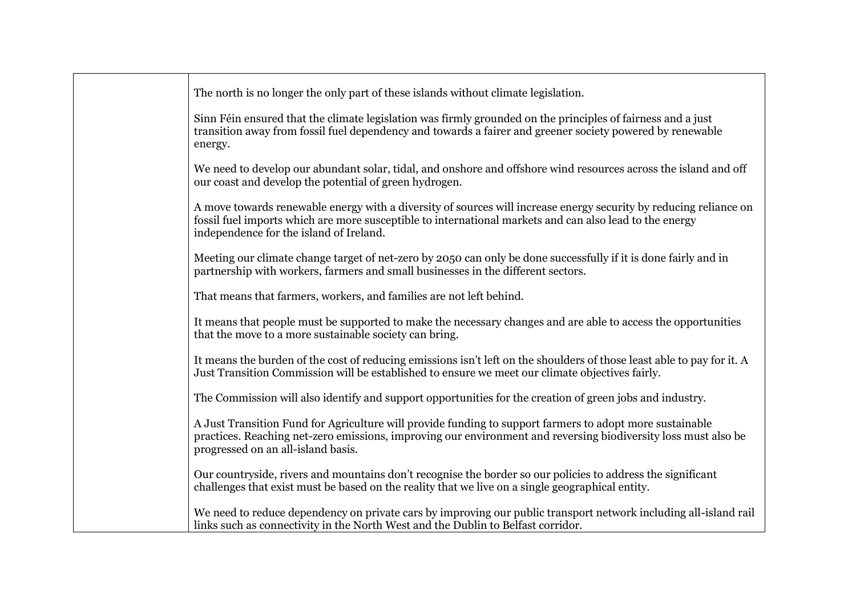| The north is no longer the only part of these islands without climate legislation.                                                                                                                                                                                      |
|-------------------------------------------------------------------------------------------------------------------------------------------------------------------------------------------------------------------------------------------------------------------------|
| Sinn Féin ensured that the climate legislation was firmly grounded on the principles of fairness and a just<br>transition away from fossil fuel dependency and towards a fairer and greener society powered by renewable<br>energy.                                     |
| We need to develop our abundant solar, tidal, and onshore and offshore wind resources across the island and off<br>our coast and develop the potential of green hydrogen.                                                                                               |
| A move towards renewable energy with a diversity of sources will increase energy security by reducing reliance on<br>fossil fuel imports which are more susceptible to international markets and can also lead to the energy<br>independence for the island of Ireland. |
| Meeting our climate change target of net-zero by 2050 can only be done successfully if it is done fairly and in<br>partnership with workers, farmers and small businesses in the different sectors.                                                                     |
| That means that farmers, workers, and families are not left behind.                                                                                                                                                                                                     |
| It means that people must be supported to make the necessary changes and are able to access the opportunities<br>that the move to a more sustainable society can bring.                                                                                                 |
| It means the burden of the cost of reducing emissions isn't left on the shoulders of those least able to pay for it. A<br>Just Transition Commission will be established to ensure we meet our climate objectives fairly.                                               |
| The Commission will also identify and support opportunities for the creation of green jobs and industry.                                                                                                                                                                |
| A Just Transition Fund for Agriculture will provide funding to support farmers to adopt more sustainable<br>practices. Reaching net-zero emissions, improving our environment and reversing biodiversity loss must also be<br>progressed on an all-island basis.        |
| Our countryside, rivers and mountains don't recognise the border so our policies to address the significant<br>challenges that exist must be based on the reality that we live on a single geographical entity.                                                         |
| We need to reduce dependency on private cars by improving our public transport network including all-island rail<br>links such as connectivity in the North West and the Dublin to Belfast corridor.                                                                    |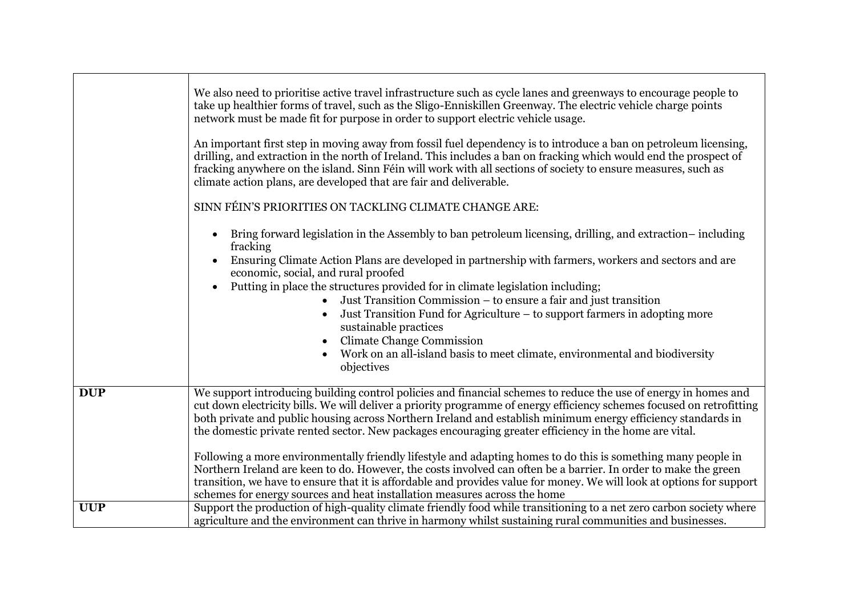|            | We also need to prioritise active travel infrastructure such as cycle lanes and greenways to encourage people to<br>take up healthier forms of travel, such as the Sligo-Enniskillen Greenway. The electric vehicle charge points<br>network must be made fit for purpose in order to support electric vehicle usage.<br>An important first step in moving away from fossil fuel dependency is to introduce a ban on petroleum licensing,<br>drilling, and extraction in the north of Ireland. This includes a ban on fracking which would end the prospect of<br>fracking anywhere on the island. Sinn Féin will work with all sections of society to ensure measures, such as<br>climate action plans, are developed that are fair and deliverable.<br>SINN FÉIN'S PRIORITIES ON TACKLING CLIMATE CHANGE ARE:<br>Bring forward legislation in the Assembly to ban petroleum licensing, drilling, and extraction-including<br>fracking<br>Ensuring Climate Action Plans are developed in partnership with farmers, workers and sectors and are<br>economic, social, and rural proofed<br>Putting in place the structures provided for in climate legislation including;<br>Just Transition Commission – to ensure a fair and just transition<br>Just Transition Fund for Agriculture – to support farmers in adopting more<br>sustainable practices<br><b>Climate Change Commission</b><br>Work on an all-island basis to meet climate, environmental and biodiversity<br>objectives |
|------------|---------------------------------------------------------------------------------------------------------------------------------------------------------------------------------------------------------------------------------------------------------------------------------------------------------------------------------------------------------------------------------------------------------------------------------------------------------------------------------------------------------------------------------------------------------------------------------------------------------------------------------------------------------------------------------------------------------------------------------------------------------------------------------------------------------------------------------------------------------------------------------------------------------------------------------------------------------------------------------------------------------------------------------------------------------------------------------------------------------------------------------------------------------------------------------------------------------------------------------------------------------------------------------------------------------------------------------------------------------------------------------------------------------------------------------------------------------------------------------------|
| <b>DUP</b> | We support introducing building control policies and financial schemes to reduce the use of energy in homes and<br>cut down electricity bills. We will deliver a priority programme of energy efficiency schemes focused on retrofitting<br>both private and public housing across Northern Ireland and establish minimum energy efficiency standards in<br>the domestic private rented sector. New packages encouraging greater efficiency in the home are vital.<br>Following a more environmentally friendly lifestyle and adapting homes to do this is something many people in<br>Northern Ireland are keen to do. However, the costs involved can often be a barrier. In order to make the green<br>transition, we have to ensure that it is affordable and provides value for money. We will look at options for support<br>schemes for energy sources and heat installation measures across the home                                                                                                                                                                                                                                                                                                                                                                                                                                                                                                                                                                          |
| <b>UUP</b> | Support the production of high-quality climate friendly food while transitioning to a net zero carbon society where                                                                                                                                                                                                                                                                                                                                                                                                                                                                                                                                                                                                                                                                                                                                                                                                                                                                                                                                                                                                                                                                                                                                                                                                                                                                                                                                                                   |
|            | agriculture and the environment can thrive in harmony whilst sustaining rural communities and businesses.                                                                                                                                                                                                                                                                                                                                                                                                                                                                                                                                                                                                                                                                                                                                                                                                                                                                                                                                                                                                                                                                                                                                                                                                                                                                                                                                                                             |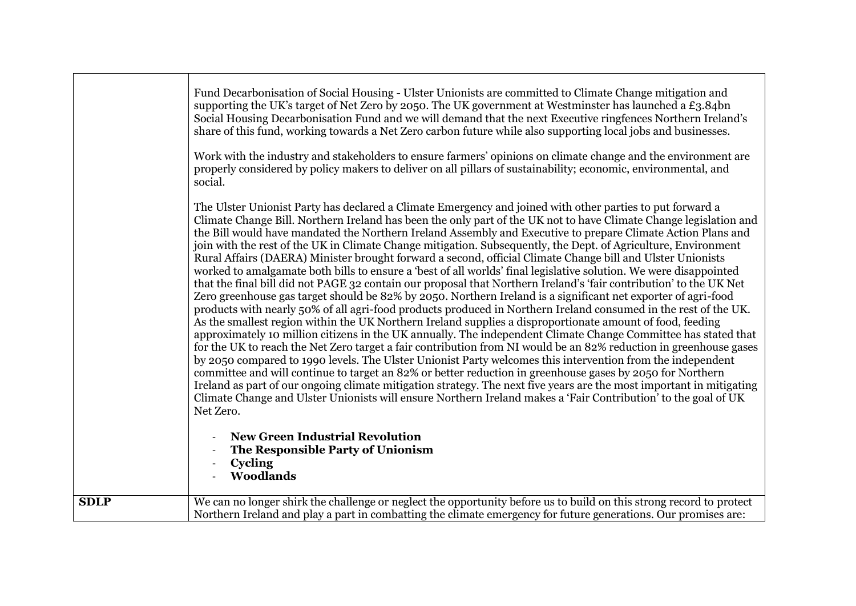|             | properly considered by policy makers to deliver on all pillars of sustainability; economic, environmental, and<br>social.<br>The Ulster Unionist Party has declared a Climate Emergency and joined with other parties to put forward a<br>Climate Change Bill. Northern Ireland has been the only part of the UK not to have Climate Change legislation and<br>the Bill would have mandated the Northern Ireland Assembly and Executive to prepare Climate Action Plans and<br>join with the rest of the UK in Climate Change mitigation. Subsequently, the Dept. of Agriculture, Environment<br>Rural Affairs (DAERA) Minister brought forward a second, official Climate Change bill and Ulster Unionists<br>worked to amalgamate both bills to ensure a 'best of all worlds' final legislative solution. We were disappointed<br>that the final bill did not PAGE 32 contain our proposal that Northern Ireland's 'fair contribution' to the UK Net<br>Zero greenhouse gas target should be 82% by 2050. Northern Ireland is a significant net exporter of agri-food<br>products with nearly 50% of all agri-food products produced in Northern Ireland consumed in the rest of the UK.<br>As the smallest region within the UK Northern Ireland supplies a disproportionate amount of food, feeding<br>approximately 10 million citizens in the UK annually. The independent Climate Change Committee has stated that<br>for the UK to reach the Net Zero target a fair contribution from NI would be an 82% reduction in greenhouse gases<br>by 2050 compared to 1990 levels. The Ulster Unionist Party welcomes this intervention from the independent<br>committee and will continue to target an 82% or better reduction in greenhouse gases by 2050 for Northern<br>Ireland as part of our ongoing climate mitigation strategy. The next five years are the most important in mitigating<br>Climate Change and Ulster Unionists will ensure Northern Ireland makes a 'Fair Contribution' to the goal of UK<br>Net Zero.<br><b>New Green Industrial Revolution</b><br>The Responsible Party of Unionism<br>Cycling |
|-------------|----------------------------------------------------------------------------------------------------------------------------------------------------------------------------------------------------------------------------------------------------------------------------------------------------------------------------------------------------------------------------------------------------------------------------------------------------------------------------------------------------------------------------------------------------------------------------------------------------------------------------------------------------------------------------------------------------------------------------------------------------------------------------------------------------------------------------------------------------------------------------------------------------------------------------------------------------------------------------------------------------------------------------------------------------------------------------------------------------------------------------------------------------------------------------------------------------------------------------------------------------------------------------------------------------------------------------------------------------------------------------------------------------------------------------------------------------------------------------------------------------------------------------------------------------------------------------------------------------------------------------------------------------------------------------------------------------------------------------------------------------------------------------------------------------------------------------------------------------------------------------------------------------------------------------------------------------------------------------------------------------------------------------------------------------------------------------------------------------------------------------|
|             | <b>Woodlands</b>                                                                                                                                                                                                                                                                                                                                                                                                                                                                                                                                                                                                                                                                                                                                                                                                                                                                                                                                                                                                                                                                                                                                                                                                                                                                                                                                                                                                                                                                                                                                                                                                                                                                                                                                                                                                                                                                                                                                                                                                                                                                                                           |
| <b>SDLP</b> | We can no longer shirk the challenge or neglect the opportunity before us to build on this strong record to protect<br>Northern Ireland and play a part in combatting the climate emergency for future generations. Our promises are:                                                                                                                                                                                                                                                                                                                                                                                                                                                                                                                                                                                                                                                                                                                                                                                                                                                                                                                                                                                                                                                                                                                                                                                                                                                                                                                                                                                                                                                                                                                                                                                                                                                                                                                                                                                                                                                                                      |